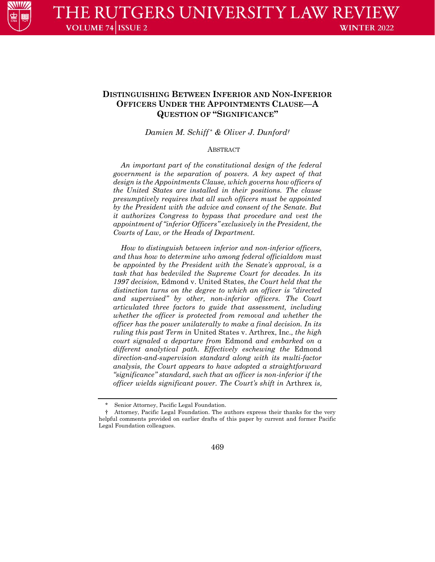

# **DISTINGUISHING BETWEEN INFERIOR AND NON-INFERIOR OFFICERS UNDER THE APPOINTMENTS CLAUSE—A QUESTION OF "SIGNIFICANCE"**

*Damien M. Schiff \* & Oliver J. Dunford†*

#### ABSTRACT

*An important part of the constitutional design of the federal government is the separation of powers. A key aspect of that design is the Appointments Clause, which governs how officers of the United States are installed in their positions. The clause presumptively requires that all such officers must be appointed by the President with the advice and consent of the Senate. But it authorizes Congress to bypass that procedure and vest the appointment of "inferior Officers" exclusively in the President, the Courts of Law, or the Heads of Department.*

*How to distinguish between inferior and non-inferior officers, and thus how to determine who among federal officialdom must be appointed by the President with the Senate's approval, is a task that has bedeviled the Supreme Court for decades. In its 1997 decision,* Edmond v. United States*, the Court held that the distinction turns on the degree to which an officer is "directed and supervised" by other, non-inferior officers. The Court articulated three factors to guide that assessment, including whether the officer is protected from removal and whether the officer has the power unilaterally to make a final decision. In its ruling this past Term in* United States v. Arthrex, Inc.*, the high court signaled a departure from* Edmond *and embarked on a different analytical path. Effectively eschewing the* Edmond *direction-and-supervision standard along with its multi-factor analysis, the Court appears to have adopted a straightforward "significance" standard, such that an officer is non-inferior if the officer wields significant power. The Court's shift in* Arthrex *is,* 

† Attorney, Pacific Legal Foundation. The authors express their thanks for the very helpful comments provided on earlier drafts of this paper by current and former Pacific Legal Foundation colleagues.



Senior Attorney, Pacific Legal Foundation.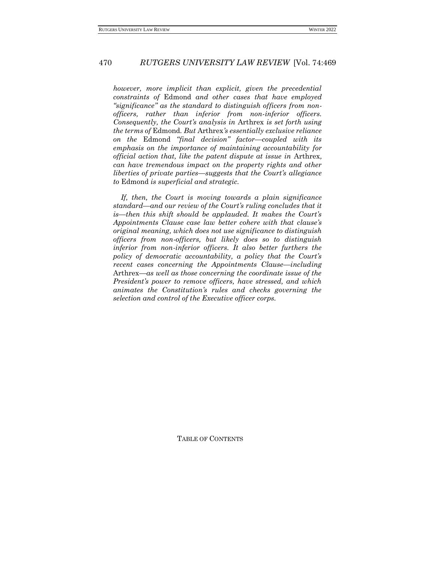*however, more implicit than explicit, given the precedential constraints of* Edmond *and other cases that have employed "significance" as the standard to distinguish officers from nonofficers, rather than inferior from non-inferior officers. Consequently, the Court's analysis in* Arthrex *is set forth using the terms of* Edmond*. But* Arthrex*'s essentially exclusive reliance on the* Edmond *"final decision" factor—coupled with its emphasis on the importance of maintaining accountability for official action that, like the patent dispute at issue in* Arthrex*, can have tremendous impact on the property rights and other liberties of private parties—suggests that the Court's allegiance to* Edmond *is superficial and strategic.*

*If, then, the Court is moving towards a plain significance standard—and our review of the Court's ruling concludes that it is—then this shift should be applauded. It makes the Court's Appointments Clause case law better cohere with that clause's original meaning, which does not use significance to distinguish officers from non-officers, but likely does so to distinguish inferior from non-inferior officers. It also better furthers the policy of democratic accountability, a policy that the Court's recent cases concerning the Appointments Clause—including*  Arthrex*—as well as those concerning the coordinate issue of the President's power to remove officers, have stressed, and which animates the Constitution's rules and checks governing the selection and control of the Executive officer corps.*

TABLE OF CONTENTS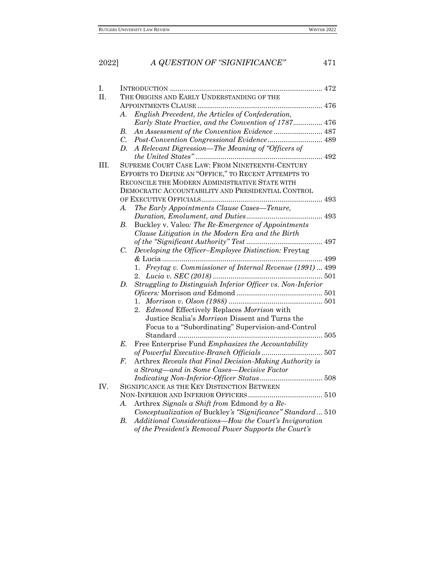# 2022] *A QUESTION OF "SIGNIFICANCE"* 471 I. INTRODUCTION [..............................................................................](#page-3-0) 472 II. THE ORIGINS AND EARLY U[NDERSTANDING OF THE](#page-7-0)  APPOINTMENTS CLAUSE [................................................................](#page-7-0) 476 *A*. *[English Precedent, the Articles of Confederation,](#page-7-1)  [Early State Practice, and the Convention of 1787](#page-7-1)*............... 476 *B. [An Assessment of the Convention Evidence](#page-18-0)* ......................... 487 *C. [Post-Convention Congressional Evidence](#page-20-0)* ............................ 489 *D. A Relevant Digression[—The Meaning of "Officers of](#page-23-0)  the United States"* [.................................................................](#page-23-0) 492 III. SUPREME COURT CASE LAW: FROM N[INETEENTH](#page-24-0)-CENTURY EFFORTS TO DEFINE AN "OFFICE," TO RECENT A[TTEMPTS TO](#page-24-0)  RECONCILE THE MODERN A[DMINISTRATIVE](#page-24-0) STATE WITH DEMOCRATIC A[CCOUNTABILITY AND](#page-24-0) PRESIDENTIAL CONTROL OF EXECUTIVE OFFICIALS[..............................................................](#page-24-0) 493 *A. [The Early Appointments Clause Cases](#page-24-1)—Tenure, [Duration, Emolument, and Duties](#page-24-1)*....................................... 493 *B.* Buckley v. Valeo*[: The Re-Emergence of Appointments](#page-28-0)  [Clause Litigation in the Modern Era](#page-28-0) and the Birth [of the "Significant Authority" Test](#page-28-0)* ....................................... 497 *C. Developing the Officer–[Employee Distinction:](#page-30-0)* Freytag *&* [Lucia..................................................................................](#page-30-0) 499 1. *Freytag v. [Commissioner of Internal Revenue \(1991\)](#page-30-1)* ... 499 2. *Lucia v. SEC (2018)* [........................................................](#page-32-0) 501 *D. [Struggling to Distinguish Inferior Officer vs. Non-Inferior](#page-32-1)  Oficers:* Morrison *and* Edmond [............................................](#page-32-1) 501 1. *Morrison v. Olson (1988)* [................................................](#page-32-2) 501 2. *Edmond* [Effectively Replaces](#page-36-0) *Morrison* with Justice Scalia's *Morrison* [Dissent and Turns the](#page-36-0)  Focus to a "Subordinating" [Supervision-and-Control](#page-36-0)  Standard [..........................................................................](#page-36-0) 505 *E.* Free Enterprise Fund *[Emphasizes the Accountability](#page-38-0)  [of Powerful Executive-Branch Officials](#page-38-0)* ............................... 507 *F.* Arthrex *[Reveals that Final Decision-Making Authority is](#page-39-0)  a Strong—[and in Some Cases](#page-39-0)—Decisive Factor [Indicating Non-Inferior-Officer Status](#page-39-0)* ................................ 508 IV. S[IGNIFICANCE AS THE](#page-41-0) KEY DISTINCTION BETWEEN NON-INFERIOR AND INFERIOR OFFICERS [......................................](#page-41-0) 510 *A.* Arthrex *[Signals a Shift from](#page-41-1)* Edmond *by a Re-Conceptualization of* Buckley*['s "Significance" Standard](#page-41-1)*... 510 *B. Additional Considerations[—How the Court's Invigoration](#page-48-0)*

*[of the President's Removal Power Supports the Court's](#page-48-0)*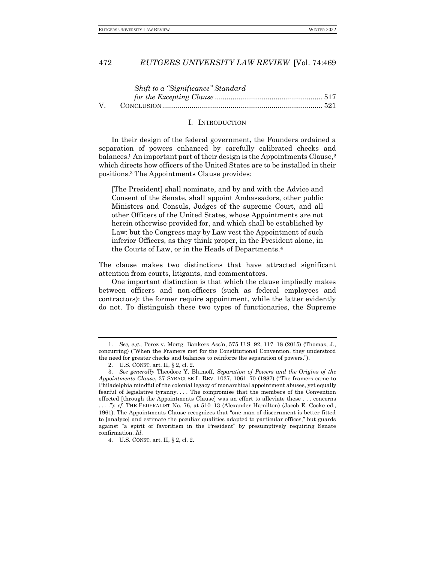#### I. INTRODUCTION

<span id="page-3-0"></span>In their design of the federal government, the Founders ordained a separation of powers enhanced by carefully calibrated checks and balances.<sup>1</sup> An important part of their design is the Appointments Clause,<sup>2</sup> which directs how officers of the United States are to be installed in their positions.<sup>3</sup> The Appointments Clause provides:

<span id="page-3-1"></span>[The President] shall nominate, and by and with the Advice and Consent of the Senate, shall appoint Ambassadors, other public Ministers and Consuls, Judges of the supreme Court, and all other Officers of the United States, whose Appointments are not herein otherwise provided for, and which shall be established by Law: but the Congress may by Law vest the Appointment of such inferior Officers, as they think proper, in the President alone, in the Courts of Law, or in the Heads of Departments.<sup>4</sup>

The clause makes two distinctions that have attracted significant attention from courts, litigants, and commentators.

One important distinction is that which the clause impliedly makes between officers and non-officers (such as federal employees and contractors): the former require appointment, while the latter evidently do not. To distinguish these two types of functionaries, the Supreme

<sup>1.</sup> *See, e.g*., Perez v. Mortg. Bankers Ass'n, 575 U.S. 92, 117–18 (2015) (Thomas, J., concurring) ("When the Framers met for the Constitutional Convention, they understood the need for greater checks and balances to reinforce the separation of powers.").

<sup>2.</sup> U.S. CONST. art. II, § 2, cl. 2.

<sup>3.</sup> *See generally* Theodore Y. Blumoff, *Separation of Powers and the Origins of the Appointments Clause*, 37 SYRACUSE L. REV. 1037, 1061–70 (1987) ("The framers came to Philadelphia mindful of the colonial legacy of monarchical appointment abuses, yet equally fearful of legislative tyranny. . . . The compromise that the members of the Convention effected [through the Appointments Clause] was an effort to alleviate these . . . concerns . . . ."); *cf*. THE FEDERALIST No. 76, at 510–13 (Alexander Hamilton) (Jacob E. Cooke ed., 1961). The Appointments Clause recognizes that "one man of discernment is better fitted to [analyze] and estimate the peculiar qualities adapted to particular offices," but guards against "a spirit of favoritism in the President" by presumptively requiring Senate confirmation. *Id.*

<sup>4.</sup> U.S. CONST. art. II, § 2, cl. 2.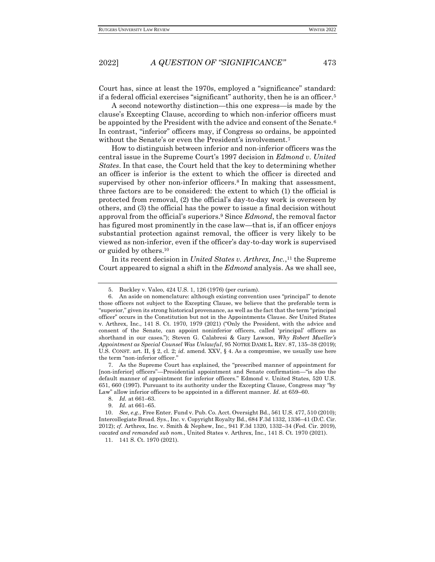Court has, since at least the 1970s, employed a "significance" standard: if a federal official exercises "significant" authority, then he is an officer.<sup>5</sup>

A second noteworthy distinction—this one express—is made by the clause's Excepting Clause, according to which non-inferior officers must be appointed by the President with the advice and consent of the Senate.<sup>6</sup> In contrast, "inferior" officers may, if Congress so ordains, be appointed without the Senate's or even the President's involvement.<sup>7</sup>

How to distinguish between inferior and non-inferior officers was the central issue in the Supreme Court's 1997 decision in *Edmond v. United States*. In that case, the Court held that the key to determining whether an officer is inferior is the extent to which the officer is directed and supervised by other non-inferior officers.<sup>8</sup> In making that assessment, three factors are to be considered: the extent to which (1) the official is protected from removal, (2) the official's day-to-day work is overseen by others, and (3) the official has the power to issue a final decision without approval from the official's superiors.<sup>9</sup> Since *Edmond*, the removal factor has figured most prominently in the case law—that is, if an officer enjoys substantial protection against removal, the officer is very likely to be viewed as non-inferior, even if the officer's day-to-day work is supervised or guided by others.<sup>10</sup>

In its recent decision in *United States v. Arthrex, Inc.*, <sup>11</sup> the Supreme Court appeared to signal a shift in the *Edmond* analysis. As we shall see,

7. As the Supreme Court has explained, the "prescribed manner of appointment for [non-inferior] officers"—Presidential appointment and Senate confirmation—"is also the default manner of appointment for inferior officers." Edmond v. United States, 520 U.S. 651, 660 (1997). Pursuant to its authority under the Excepting Clause, Congress may "by Law" allow inferior officers to be appointed in a different manner. *Id.* at 659–60.

<sup>5.</sup> Buckley v. Valeo, 424 U.S. 1, 126 (1976) (per curiam).

<sup>6.</sup> An aside on nomenclature: although existing convention uses "principal" to denote those officers not subject to the Excepting Clause, we believe that the preferable term is "superior," given its strong historical provenance, as well as the fact that the term "principal officer" occurs in the Constitution but not in the Appointments Clause. *See* United States v. Arthrex, Inc., 141 S. Ct. 1970, 1979 (2021) ("Only the President, with the advice and consent of the Senate, can appoint noninferior officers, called 'principal' officers as shorthand in our cases."); Steven G. Calabresi & Gary Lawson, *Why Robert Mueller's Appointment as Special Counsel Was Unlawful*, 95 NOTRE DAME L. REV. 87, 135–38 (2019); U.S. CONST. art. II, § 2, cl. 2; *id.* amend. XXV, § 4. As a compromise, we usually use here the term "non-inferior officer."

<sup>8.</sup> *Id.* at 661–63.

<sup>9.</sup> *Id.* at 661–65.

<sup>10.</sup> *See, e.g.*, Free Enter. Fund v. Pub. Co. Acct. Oversight Bd., 561 U.S. 477, 510 (2010); Intercollegiate Broad. Sys., Inc. v. Copyright Royalty Bd., 684 F.3d 1332, 1336–41 (D.C. Cir. 2012); *cf.* Arthrex, Inc. v. Smith & Nephew, Inc., 941 F.3d 1320, 1332–34 (Fed. Cir. 2019), *vacated and remanded sub nom.*, United States v. Arthrex, Inc., 141 S. Ct. 1970 (2021).

<sup>11.</sup> 141 S. Ct. 1970 (2021).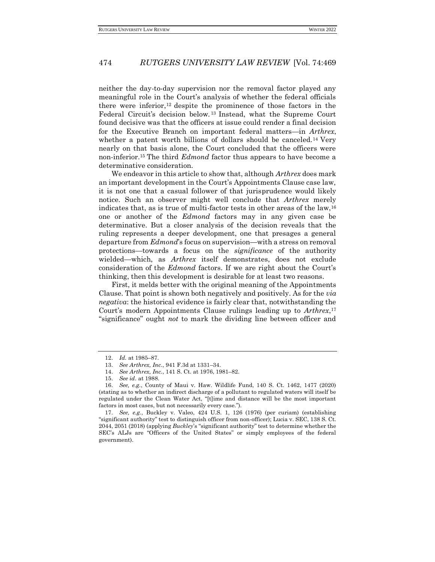neither the day-to-day supervision nor the removal factor played any meaningful role in the Court's analysis of whether the federal officials there were inferior, <sup>12</sup> despite the prominence of those factors in the Federal Circuit's decision below. <sup>13</sup> Instead, what the Supreme Court found decisive was that the officers at issue could render a final decision for the Executive Branch on important federal matters—in *Arthrex*, whether a patent worth billions of dollars should be canceled.<sup>14</sup> Very nearly on that basis alone, the Court concluded that the officers were non-inferior.<sup>15</sup> The third *Edmond* factor thus appears to have become a determinative consideration.

We endeavor in this article to show that, although *Arthrex* does mark an important development in the Court's Appointments Clause case law, it is not one that a casual follower of that jurisprudence would likely notice. Such an observer might well conclude that *Arthrex* merely indicates that, as is true of multi-factor tests in other areas of the law,<sup>16</sup> one or another of the *Edmond* factors may in any given case be determinative. But a closer analysis of the decision reveals that the ruling represents a deeper development, one that presages a general departure from *Edmond*'s focus on supervision—with a stress on removal protections—towards a focus on the *significance* of the authority wielded—which, as *Arthrex* itself demonstrates, does not exclude consideration of the *Edmond* factors. If we are right about the Court's thinking, then this development is desirable for at least two reasons.

First, it melds better with the original meaning of the Appointments Clause. That point is shown both negatively and positively. As for the *via negativa*: the historical evidence is fairly clear that, notwithstanding the Court's modern Appointments Clause rulings leading up to *Arthrex*, 17 "significance" ought *not* to mark the dividing line between officer and

<sup>12.</sup> *Id.* at 1985–87.

<sup>13.</sup> *See Arthrex, Inc.*, 941 F.3d at 1331–34.

<sup>14.</sup> *See Arthrex, Inc.*, 141 S. Ct. at 1976, 1981–82.

<sup>15.</sup> *See id.* at 1988.

<sup>16.</sup> *See, e.g.*, County of Maui v. Haw. Wildlife Fund, 140 S. Ct. 1462, 1477 (2020) (stating as to whether an indirect discharge of a pollutant to regulated waters will itself be regulated under the Clean Water Act, "[t]ime and distance will be the most important factors in most cases, but not necessarily every case.").

<sup>17.</sup> *See, e.g.*, Buckley v. Valeo, 424 U.S. 1, 126 (1976) (per curiam) (establishing "significant authority" test to distinguish officer from non-officer); Lucia v. SEC, 138 S. Ct. 2044, 2051 (2018) (applying *Buckley*'s "significant authority" test to determine whether the SEC's ALJs are "Officers of the United States" or simply employees of the federal government).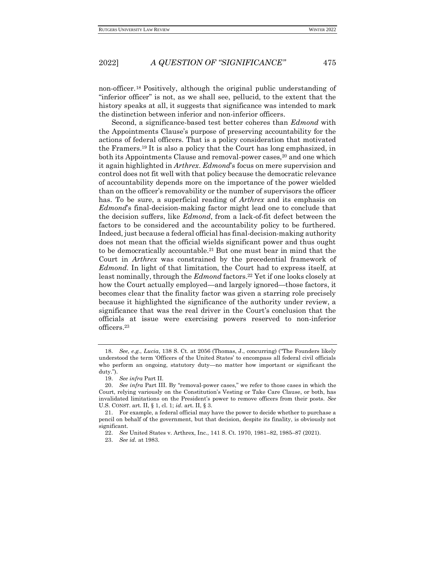non-officer.<sup>18</sup> Positively, although the original public understanding of "inferior officer" is not, as we shall see, pellucid, to the extent that the history speaks at all, it suggests that significance was intended to mark the distinction between inferior and non-inferior officers.

Second, a significance-based test better coheres than *Edmond* with the Appointments Clause's purpose of preserving accountability for the actions of federal officers. That is a policy consideration that motivated the Framers.<sup>19</sup> It is also a policy that the Court has long emphasized, in both its Appointments Clause and removal-power cases,<sup>20</sup> and one which it again highlighted in *Arthrex*. *Edmond*'s focus on mere supervision and control does not fit well with that policy because the democratic relevance of accountability depends more on the importance of the power wielded than on the officer's removability or the number of supervisors the officer has. To be sure, a superficial reading of *Arthrex* and its emphasis on *Edmond*'s final-decision-making factor might lead one to conclude that the decision suffers, like *Edmond*, from a lack-of-fit defect between the factors to be considered and the accountability policy to be furthered. Indeed, just because a federal official has final-decision-making authority does not mean that the official wields significant power and thus ought to be democratically accountable.<sup>21</sup> But one must bear in mind that the Court in *Arthrex* was constrained by the precedential framework of *Edmond*. In light of that limitation, the Court had to express itself, at least nominally, through the *Edmond* factors.<sup>22</sup> Yet if one looks closely at how the Court actually employed—and largely ignored—those factors, it becomes clear that the finality factor was given a starring role precisely because it highlighted the significance of the authority under review, a significance that was the real driver in the Court's conclusion that the officials at issue were exercising powers reserved to non-inferior officers.<sup>23</sup>

<sup>18.</sup> *See, e.g.*, *Lucia*, 138 S. Ct. at 2056 (Thomas, J., concurring) ("The Founders likely understood the term 'Officers of the United States' to encompass all federal civil officials who perform an ongoing, statutory duty—no matter how important or significant the duty.").

<sup>19.</sup> *See infra* Part II.

<sup>20.</sup> *See infra* Part III. By "removal-power cases," we refer to those cases in which the Court, relying variously on the Constitution's Vesting or Take Care Clause, or both, has invalidated limitations on the President's power to remove officers from their posts. *See*  U.S. CONST. art. II, § 1, cl. 1; *id.* art. II, § 3.

<sup>21.</sup> For example, a federal official may have the power to decide whether to purchase a pencil on behalf of the government, but that decision, despite its finality, is obviously not significant.

<sup>22.</sup> *See* United States v. Arthrex, Inc., 141 S. Ct. 1970, 1981–82, 1985–87 (2021).

<sup>23.</sup> *See id.* at 1983.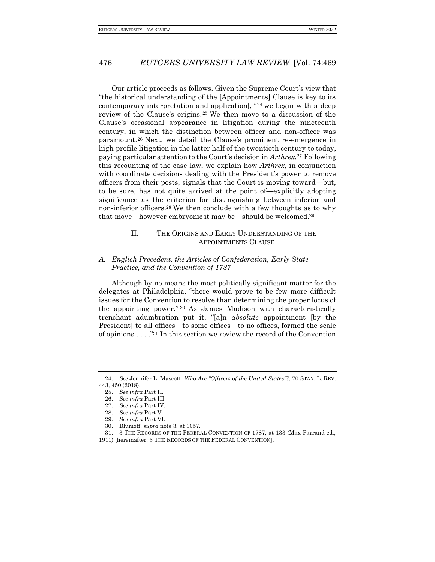Our article proceeds as follows. Given the Supreme Court's view that "the historical understanding of the [Appointments] Clause is key to its contemporary interpretation and application $[$ , $]$ "<sup>24</sup> we begin with a deep review of the Clause's origins.<sup>25</sup> We then move to a discussion of the Clause's occasional appearance in litigation during the nineteenth century, in which the distinction between officer and non-officer was paramount.<sup>26</sup> Next, we detail the Clause's prominent re-emergence in high-profile litigation in the latter half of the twentieth century to today, paying particular attention to the Court's decision in *Arthrex*. <sup>27</sup> Following this recounting of the case law, we explain how *Arthrex*, in conjunction with coordinate decisions dealing with the President's power to remove officers from their posts, signals that the Court is moving toward—but, to be sure, has not quite arrived at the point of—explicitly adopting significance as the criterion for distinguishing between inferior and non-inferior officers.<sup>28</sup> We then conclude with a few thoughts as to why that move—however embryonic it may be—should be welcomed.<sup>29</sup>

# <span id="page-7-0"></span>II. THE ORIGINS AND EARLY UNDERSTANDING OF THE APPOINTMENTS CLAUSE

#### <span id="page-7-1"></span>*A. English Precedent, the Articles of Confederation, Early State Practice, and the Convention of 1787*

Although by no means the most politically significant matter for the delegates at Philadelphia, "there would prove to be few more difficult issues for the Convention to resolve than determining the proper locus of the appointing power." <sup>30</sup> As James Madison with characteristically trenchant adumbration put it, "[a]n *absolute* appointment [by the President] to all offices—to some offices—to no offices, formed the scale of opinions . . . ."<sup>31</sup> In this section we review the record of the Convention

<span id="page-7-2"></span><sup>24.</sup> *See* Jennifer L. Mascott, *Who Are "Officers of the United States"?*, 70 STAN. L. REV. 443, 450 (2018).

<sup>25.</sup> *See infra* Part II.

<sup>26.</sup> *See infra* Part III.

<sup>27.</sup> *See infra* Part IV.

<sup>28.</sup> *See infra* Part V.

<sup>29.</sup> *See infra* Part VI.

<sup>30.</sup> Blumoff, *supra* not[e 3,](#page-3-1) at 1057.

<sup>31.</sup> 3 THE RECORDS OF THE FEDERAL CONVENTION OF 1787, at 133 (Max Farrand ed., 1911) [hereinafter, 3 THE RECORDS OF THE FEDERAL CONVENTION].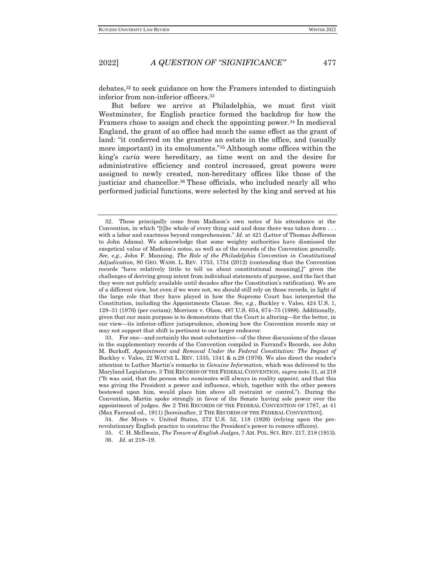debates,<sup>32</sup> to seek guidance on how the Framers intended to distinguish inferior from non-inferior officers.<sup>33</sup>

But before we arrive at Philadelphia, we must first visit Westminster, for English practice formed the backdrop for how the Framers chose to assign and check the appointing power.<sup>34</sup> In medieval England, the grant of an office had much the same effect as the grant of land: "it conferred on the grantee an estate in the office, and (usually more important) in its emoluments."<sup>35</sup> Although some offices within the king's *curia* were hereditary, as time went on and the desire for administrative efficiency and control increased, great powers were assigned to newly created, non-hereditary offices like those of the justiciar and chancellor.<sup>36</sup> These officials, who included nearly all who performed judicial functions, were selected by the king and served at his

<sup>32.</sup> These principally come from Madison's own notes of his attendance at the Convention, in which "[t]he whole of every thing said and done there was taken down . . . with a labor and exactness beyond comprehension." *Id.* at 421 (Letter of Thomas Jefferson to John Adams). We acknowledge that some weighty authorities have dismissed the exegetical value of Madison's notes, as well as of the records of the Convention generally. *See, e.g.*, John F. Manning, *The Role of the Philadelphia Convention in Constitutional Adjudication*, 80 GEO. WASH. L. REV. 1753, 1754 (2012) (contending that the Convention records "have relatively little to tell us about constitutional meaning[,]" given the challenges of deriving group intent from individual statements of purpose, and the fact that they were not publicly available until decades after the Constitution's ratification). We are of a different view, but even if we were not, we should still rely on those records, in light of the large role that they have played in how the Supreme Court has interpreted the Constitution, including the Appointments Clause. *See, e.g.*, Buckley v. Valeo, 424 U.S. 1, 128–31 (1976) (per curiam); Morrison v. Olson, 487 U.S. 654, 674–75 (1988). Additionally, given that our main purpose is to demonstrate that the Court is altering—for the better, in our view—its inferior-officer jurisprudence, showing how the Convention records may or may not support that shift is pertinent to our larger endeavor.

<sup>33.</sup> For one—and certainly the most substantive—of the three discussions of the clause in the supplementary records of the Convention compiled in Farrand's Records, see John M. Burkoff, *Appointment and Removal Under the Federal Constitution: The Impact of* Buckley v. Valeo, 22 WAYNE L. REV. 1335, 1341 & n.28 (1976). We also direct the reader's attention to Luther Martin's remarks in *Genuine Information*, which was delivered to the Maryland Legislature. 3 THE RECORDS OF THE FEDERAL CONVENTION, *supra* note 31, at 218 ("It was said, that the person who *nominates* will always in reality *appoint*, and that this was giving the President a power and influence, which, together with the other powers bestowed upon him, would place him above all restraint or control."). During the Convention, Martin spoke strongly in favor of the Senate having sole power over the appointment of judges. *See* 2 THE RECORDS OF THE FEDERAL CONVENTION OF 1787, at 41 (Max Farrand ed., 1911) [hereinafter, 2 THE RECORDS OF THE FEDERAL CONVENTION].

<sup>34.</sup> *See* Myers v. United States, 272 U.S. 52, 118 (1926) (relying upon the prerevolutionary English practice to construe the President's power to remove officers).

<sup>35.</sup> C. H. McIlwain, *The Tenure of English Judges*, 7 AM. POL. SCI. REV. 217, 218 (1913). 36. *Id.* at 218–19.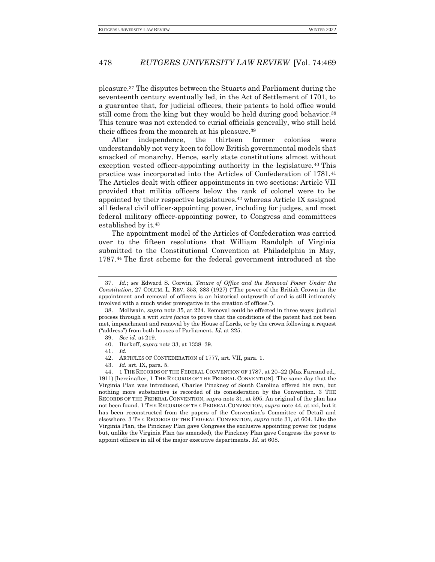pleasure.<sup>37</sup> The disputes between the Stuarts and Parliament during the seventeenth century eventually led, in the Act of Settlement of 1701, to a guarantee that, for judicial officers, their patents to hold office would still come from the king but they would be held during good behavior.<sup>38</sup> This tenure was not extended to curial officials generally, who still held their offices from the monarch at his pleasure.<sup>39</sup>

After independence, the thirteen former colonies were understandably not very keen to follow British governmental models that smacked of monarchy. Hence, early state constitutions almost without exception vested officer-appointing authority in the legislature.<sup>40</sup> This practice was incorporated into the Articles of Confederation of 1781.<sup>41</sup> The Articles dealt with officer appointments in two sections: Article VII provided that militia officers below the rank of colonel were to be appointed by their respective legislatures,<sup>42</sup> whereas Article IX assigned all federal civil officer-appointing power, including for judges, and most federal military officer-appointing power, to Congress and committees established by it.<sup>43</sup>

The appointment model of the Articles of Confederation was carried over to the fifteen resolutions that William Randolph of Virginia submitted to the Constitutional Convention at Philadelphia in May, 1787.<sup>44</sup> The first scheme for the federal government introduced at the

<sup>37.</sup> *Id.*; *see* Edward S. Corwin, *Tenure of Office and the Removal Power Under the Constitution*, 27 COLUM. L. REV. 353, 383 (1927) ("The power of the British Crown in the appointment and removal of officers is an historical outgrowth of and is still intimately involved with a much wider prerogative in the creation of offices.").

<sup>38.</sup> McIlwain, *supra* note 35, at 224. Removal could be effected in three ways: judicial process through a writ *scire facias* to prove that the conditions of the patent had not been met, impeachment and removal by the House of Lords, or by the crown following a request ("address") from both houses of Parliament. *Id.* at 225.

<sup>39.</sup> *See id.* at 219.

<sup>40.</sup> Burkoff, *supra* note 33, at 1338–39.

<sup>41.</sup> *Id.*

<sup>42.</sup> ARTICLES OF CONFEDERATION of 1777, art. VII, para. 1.

<sup>43.</sup> *Id.* art. IX, para. 5.

<sup>44.</sup> 1 THE RECORDS OF THE FEDERAL CONVENTION OF 1787, at 20–22 (Max Farrand ed., 1911) [hereinafter, 1 THE RECORDS OF THE FEDERAL CONVENTION]. The same day that the Virginia Plan was introduced, Charles Pinckney of South Carolina offered his own, but nothing more substantive is recorded of its consideration by the Convention. 3 THE RECORDS OF THE FEDERAL CONVENTION, *supra* note 31, at 595. An original of the plan has not been found. 1 THE RECORDS OF THE FEDERAL CONVENTION, *supra* note 44, at xxi, but it has been reconstructed from the papers of the Convention's Committee of Detail and elsewhere. 3 THE RECORDS OF THE FEDERAL CONVENTION, *supra* note 31, at 604. Like the Virginia Plan, the Pinckney Plan gave Congress the exclusive appointing power for judges but, unlike the Virginia Plan (as amended), the Pinckney Plan gave Congress the power to appoint officers in all of the major executive departments. *Id.* at 608.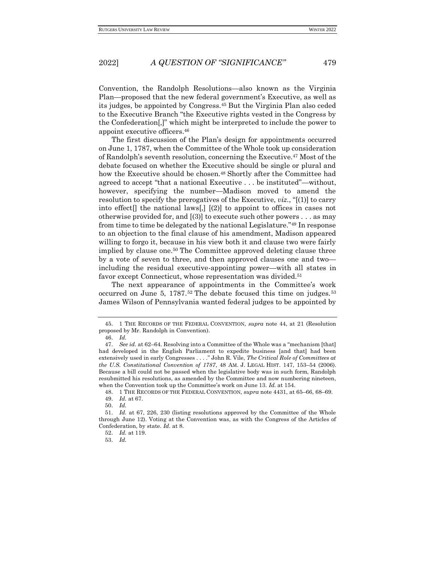Convention, the Randolph Resolutions—also known as the Virginia Plan—proposed that the new federal government's Executive, as well as its judges, be appointed by Congress.<sup>45</sup> But the Virginia Plan also ceded to the Executive Branch "the Executive rights vested in the Congress by the Confederation[,]" which might be interpreted to include the power to appoint executive officers.<sup>46</sup>

The first discussion of the Plan's design for appointments occurred on June 1, 1787, when the Committee of the Whole took up consideration of Randolph's seventh resolution, concerning the Executive.<sup>47</sup> Most of the debate focused on whether the Executive should be single or plural and how the Executive should be chosen.<sup>48</sup> Shortly after the Committee had agreed to accept "that a national Executive . . . be instituted"—without, however, specifying the number—Madison moved to amend the resolution to specify the prerogatives of the Executive, *viz.*, "[(1)] to carry into effect<sup>[]</sup> the national laws<sup>[1]</sup> [(2)] to appoint to offices in cases not otherwise provided for, and [(3)] to execute such other powers . . . as may from time to time be delegated by the national Legislature."<sup>49</sup> In response to an objection to the final clause of his amendment, Madison appeared willing to forgo it, because in his view both it and clause two were fairly implied by clause one.<sup>50</sup> The Committee approved deleting clause three by a vote of seven to three, and then approved clauses one and two including the residual executive-appointing power—with all states in favor except Connecticut, whose representation was divided.<sup>51</sup>

The next appearance of appointments in the Committee's work occurred on June 5,  $1787.52$  The debate focused this time on judges.<sup>53</sup> James Wilson of Pennsylvania wanted federal judges to be appointed by

48. 1 THE RECORDS OF THE FEDERAL CONVENTION, *supra* note 4[431,](#page-7-2) at 65–66, 68–69.

<sup>45.</sup> 1 THE RECORDS OF THE FEDERAL CONVENTION, *supra* note 44, at 21 (Resolution proposed by Mr. Randolph in Convention).

<sup>46.</sup> *Id.*

<sup>47.</sup> *See id.* at 62–64. Resolving into a Committee of the Whole was a "mechanism [that] had developed in the English Parliament to expedite business [and that] had been extensively used in early Congresses . . . ." John R. Vile, *The Critical Role of Committees at the U.S. Constitutional Convention of 1787*, 48 AM. J. LEGAL HIST. 147, 153–54 (2006). Because a bill could not be passed when the legislative body was in such form, Randolph resubmitted his resolutions, as amended by the Committee and now numbering nineteen, when the Convention took up the Committee's work on June 13. *Id.* at 154.

<sup>49.</sup> *Id.* at 67.

<sup>50.</sup> *Id.*

<sup>51.</sup> *Id.* at 67, 226, 230 (listing resolutions approved by the Committee of the Whole through June 12). Voting at the Convention was, as with the Congress of the Articles of Confederation, by state. *Id.* at 8.

<sup>52.</sup> *Id.* at 119.

<sup>53.</sup> *Id.*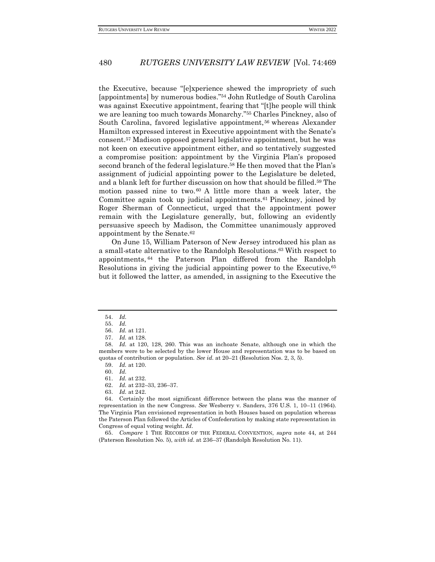the Executive, because "[e]xperience shewed the impropriety of such [appointments] by numerous bodies."<sup>54</sup> John Rutledge of South Carolina was against Executive appointment, fearing that "[t]he people will think we are leaning too much towards Monarchy."<sup>55</sup> Charles Pinckney, also of South Carolina, favored legislative appointment,<sup>56</sup> whereas Alexander Hamilton expressed interest in Executive appointment with the Senate's consent.<sup>57</sup> Madison opposed general legislative appointment, but he was not keen on executive appointment either, and so tentatively suggested a compromise position: appointment by the Virginia Plan's proposed second branch of the federal legislature.<sup>58</sup> He then moved that the Plan's assignment of judicial appointing power to the Legislature be deleted, and a blank left for further discussion on how that should be filled. <sup>59</sup> The motion passed nine to two. <sup>60</sup> A little more than a week later, the Committee again took up judicial appointments.<sup>61</sup> Pinckney, joined by Roger Sherman of Connecticut, urged that the appointment power remain with the Legislature generally, but, following an evidently persuasive speech by Madison, the Committee unanimously approved appointment by the Senate.<sup>62</sup>

On June 15, William Paterson of New Jersey introduced his plan as a small-state alternative to the Randolph Resolutions.<sup>63</sup> With respect to appointments, <sup>64</sup> the Paterson Plan differed from the Randolph Resolutions in giving the judicial appointing power to the Executive,<sup>65</sup> but it followed the latter, as amended, in assigning to the Executive the

60. *Id.*

62. *Id.* at 232–33, 236–37.

64. Certainly the most significant difference between the plans was the manner of representation in the new Congress. *See* Wesberry v. Sanders, 376 U.S. 1, 10–11 (1964). The Virginia Plan envisioned representation in both Houses based on population whereas the Paterson Plan followed the Articles of Confederation by making state representation in Congress of equal voting weight. *Id.*

65. *Compare* 1 THE RECORDS OF THE FEDERAL CONVENTION, *supra* note 44, at 244 (Paterson Resolution No. 5), *with id.* at 236–37 (Randolph Resolution No. 11).

<sup>54.</sup> *Id.*

<sup>55.</sup> *Id.*

<sup>56.</sup> *Id.* at 121.

<sup>57.</sup> *Id.* at 128.

<sup>58.</sup> *Id.* at 120, 128, 260. This was an inchoate Senate, although one in which the members were to be selected by the lower House and representation was to be based on quotas of contribution or population. *See id.* at 20–21 (Resolution Nos. 2, 3, 5).

<sup>59.</sup> *Id.* at 120.

<sup>61.</sup> *Id.* at 232.

<sup>63.</sup> *Id.* at 242.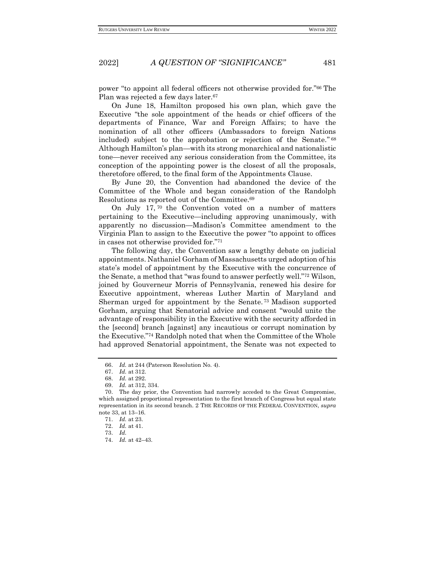power "to appoint all federal officers not otherwise provided for."<sup>66</sup> The Plan was rejected a few days later.<sup>67</sup>

On June 18, Hamilton proposed his own plan, which gave the Executive "the sole appointment of the heads or chief officers of the departments of Finance, War and Foreign Affairs; to have the nomination of all other officers (Ambassadors to foreign Nations included) subject to the approbation or rejection of the Senate." 68 Although Hamilton's plan—with its strong monarchical and nationalistic tone—never received any serious consideration from the Committee, its conception of the appointing power is the closest of all the proposals, theretofore offered, to the final form of the Appointments Clause.

By June 20, the Convention had abandoned the device of the Committee of the Whole and began consideration of the Randolph Resolutions as reported out of the Committee.<sup>69</sup>

On July 17, <sup>70</sup> the Convention voted on a number of matters pertaining to the Executive—including approving unanimously, with apparently no discussion—Madison's Committee amendment to the Virginia Plan to assign to the Executive the power "to appoint to offices in cases not otherwise provided for."<sup>71</sup>

The following day, the Convention saw a lengthy debate on judicial appointments. Nathaniel Gorham of Massachusetts urged adoption of his state's model of appointment by the Executive with the concurrence of the Senate, a method that "was found to answer perfectly well."<sup>72</sup> Wilson, joined by Gouverneur Morris of Pennsylvania, renewed his desire for Executive appointment, whereas Luther Martin of Maryland and Sherman urged for appointment by the Senate. <sup>73</sup> Madison supported Gorham, arguing that Senatorial advice and consent "would unite the advantage of responsibility in the Executive with the security afforded in the [second] branch [against] any incautious or corrupt nomination by the Executive."<sup>74</sup> Randolph noted that when the Committee of the Whole had approved Senatorial appointment, the Senate was not expected to

<sup>66.</sup> *Id.* at 244 (Paterson Resolution No. 4).

<sup>67.</sup> *Id.* at 312.

<sup>68.</sup> *Id.* at 292.

<sup>69.</sup> *Id.* at 312, 334.

<sup>70.</sup> The day prior, the Convention had narrowly acceded to the Great Compromise, which assigned proportional representation to the first branch of Congress but equal state representation in its second branch. 2 THE RECORDS OF THE FEDERAL CONVENTION, *supra*  note 33, at 13–16.

<sup>71.</sup> *Id.* at 23.

<sup>72.</sup> *Id.* at 41.

<sup>73.</sup> *Id.*

<sup>74.</sup> *Id.* at 42–43.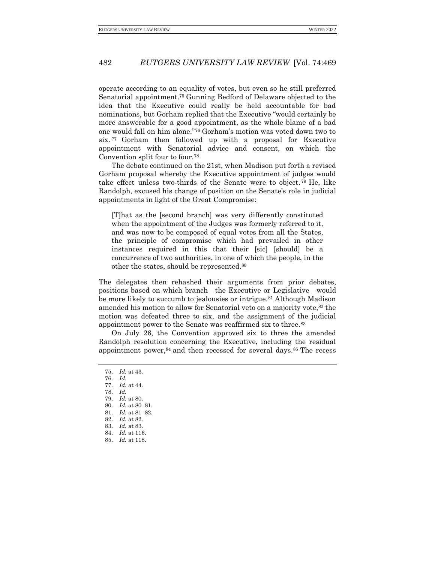operate according to an equality of votes, but even so he still preferred Senatorial appointment.<sup>75</sup> Gunning Bedford of Delaware objected to the idea that the Executive could really be held accountable for bad nominations, but Gorham replied that the Executive "would certainly be more answerable for a good appointment, as the whole blame of a bad one would fall on him alone."<sup>76</sup> Gorham's motion was voted down two to six. <sup>77</sup> Gorham then followed up with a proposal for Executive appointment with Senatorial advice and consent, on which the Convention split four to four.<sup>78</sup>

The debate continued on the 21st, when Madison put forth a revised Gorham proposal whereby the Executive appointment of judges would take effect unless two-thirds of the Senate were to object. <sup>79</sup> He, like Randolph, excused his change of position on the Senate's role in judicial appointments in light of the Great Compromise:

[T]hat as the [second branch] was very differently constituted when the appointment of the Judges was formerly referred to it, and was now to be composed of equal votes from all the States, the principle of compromise which had prevailed in other instances required in this that their [sic] [should] be a concurrence of two authorities, in one of which the people, in the other the states, should be represented.<sup>80</sup>

The delegates then rehashed their arguments from prior debates, positions based on which branch—the Executive or Legislative—would be more likely to succumb to jealousies or intrigue.<sup>81</sup> Although Madison amended his motion to allow for Senatorial veto on a majority vote,<sup>82</sup> the motion was defeated three to six, and the assignment of the judicial appointment power to the Senate was reaffirmed six to three.<sup>83</sup>

On July 26, the Convention approved six to three the amended Randolph resolution concerning the Executive, including the residual appointment power,<sup>84</sup> and then recessed for several days.<sup>85</sup> The recess

<sup>75.</sup> *Id.* at 43.

<sup>76.</sup> *Id.*

<sup>77.</sup> *Id.* at 44.

<sup>78.</sup> *Id.*

<sup>79.</sup> *Id.* at 80.

<sup>80.</sup> *Id.* at 80–81.

<sup>81.</sup> *Id.* at 81–82.

<sup>82.</sup> *Id.* at 82.

<sup>83.</sup> *Id.* at 83. 84. *Id.* at 116.

<sup>85.</sup> *Id.* at 118.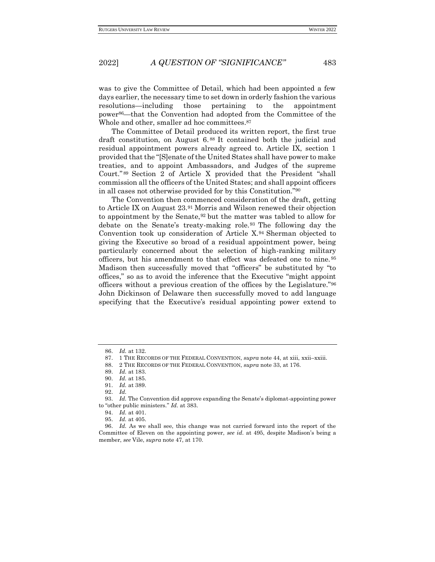was to give the Committee of Detail, which had been appointed a few days earlier, the necessary time to set down in orderly fashion the various resolutions—including those pertaining to the appointment power86—that the Convention had adopted from the Committee of the Whole and other, smaller ad hoc committees.<sup>87</sup>

The Committee of Detail produced its written report, the first true draft constitution, on August 6. <sup>88</sup> It contained both the judicial and residual appointment powers already agreed to. Article IX, section 1 provided that the "[S]enate of the United States shall have power to make treaties, and to appoint Ambassadors, and Judges of the supreme Court." <sup>89</sup> Section 2 of Article X provided that the President "shall commission all the officers of the United States; and shall appoint officers in all cases not otherwise provided for by this Constitution."<sup>90</sup>

The Convention then commenced consideration of the draft, getting to Article IX on August 23.<sup>91</sup> Morris and Wilson renewed their objection to appointment by the Senate,<sup>92</sup> but the matter was tabled to allow for debate on the Senate's treaty-making role. <sup>93</sup> The following day the Convention took up consideration of Article X.<sup>94</sup> Sherman objected to giving the Executive so broad of a residual appointment power, being particularly concerned about the selection of high-ranking military officers, but his amendment to that effect was defeated one to nine. <sup>95</sup> Madison then successfully moved that "officers" be substituted by "to offices," so as to avoid the inference that the Executive "might appoint officers without a previous creation of the offices by the Legislature."<sup>96</sup> John Dickinson of Delaware then successfully moved to add language specifying that the Executive's residual appointing power extend to

<sup>86.</sup> *Id.* at 132.

<sup>87.</sup> 1 THE RECORDS OF THE FEDERAL CONVENTION, *supra* note 44, at xiii, xxii–xxiii.

<sup>88.</sup> 2 THE RECORDS OF THE FEDERAL CONVENTION, *supra* note 33, at 176.

<sup>89.</sup> *Id.* at 183.

<sup>90.</sup> *Id.* at 185.

<sup>91.</sup> *Id.* at 389.

<sup>92.</sup> *Id.*

<sup>93.</sup> *Id.* The Convention did approve expanding the Senate's diplomat-appointing power to "other public ministers." *Id.* at 383.

<sup>94.</sup> *Id.* at 401.

<sup>95.</sup> *Id.* at 405.

<sup>96.</sup> *Id.* As we shall see, this change was not carried forward into the report of the Committee of Eleven on the appointing power, *see id.* at 495, despite Madison's being a member, *see* Vile, *supra* note 47, at 170.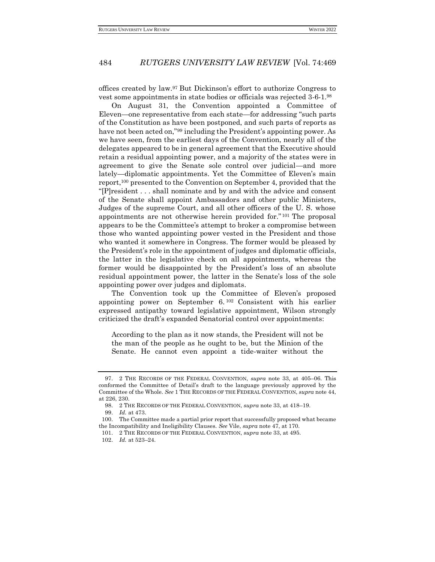offices created by law.<sup>97</sup> But Dickinson's effort to authorize Congress to vest some appointments in state bodies or officials was rejected 3-6-1.<sup>98</sup>

On August 31, the Convention appointed a Committee of Eleven—one representative from each state—for addressing "such parts of the Constitution as have been postponed, and such parts of reports as have not been acted on,"<sup>99</sup> including the President's appointing power. As we have seen, from the earliest days of the Convention, nearly all of the delegates appeared to be in general agreement that the Executive should retain a residual appointing power, and a majority of the states were in agreement to give the Senate sole control over judicial—and more lately—diplomatic appointments. Yet the Committee of Eleven's main report,<sup>100</sup> presented to the Convention on September 4, provided that the "[P]resident . . . shall nominate and by and with the advice and consent of the Senate shall appoint Ambassadors and other public Ministers, Judges of the supreme Court, and all other officers of the U. S. whose appointments are not otherwise herein provided for." <sup>101</sup> The proposal appears to be the Committee's attempt to broker a compromise between those who wanted appointing power vested in the President and those who wanted it somewhere in Congress. The former would be pleased by the President's role in the appointment of judges and diplomatic officials, the latter in the legislative check on all appointments, whereas the former would be disappointed by the President's loss of an absolute residual appointment power, the latter in the Senate's loss of the sole appointing power over judges and diplomats.

The Convention took up the Committee of Eleven's proposed appointing power on September 6. <sup>102</sup> Consistent with his earlier expressed antipathy toward legislative appointment, Wilson strongly criticized the draft's expanded Senatorial control over appointments:

According to the plan as it now stands, the President will not be the man of the people as he ought to be, but the Minion of the Senate. He cannot even appoint a tide-waiter without the

<sup>97.</sup> 2 THE RECORDS OF THE FEDERAL CONVENTION, *supra* note 33, at 405–06. This conformed the Committee of Detail's draft to the language previously approved by the Committee of the Whole. *See* 1 THE RECORDS OF THE FEDERAL CONVENTION, *supra* note 44, at 226, 230.

<sup>98.</sup> 2 THE RECORDS OF THE FEDERAL CONVENTION, *supra* note 33, at 418–19.

<sup>99.</sup> *Id.* at 473.

<sup>100.</sup> The Committee made a partial prior report that successfully proposed what became the Incompatibility and Ineligibility Clauses. *See* Vile, *supra* note 47, at 170.

<sup>101.</sup> 2 THE RECORDS OF THE FEDERAL CONVENTION, *supra* note 33, at 495.

<sup>102.</sup> *Id.* at 523–24.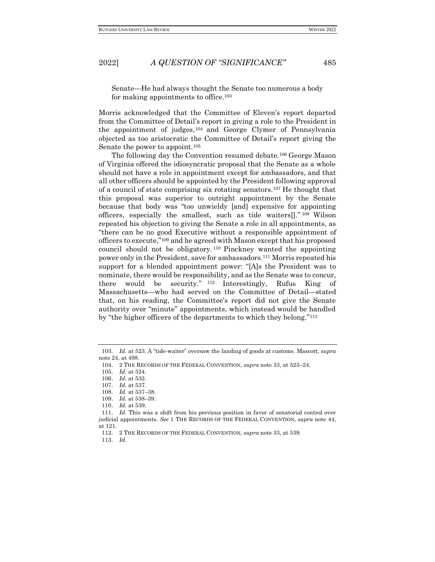Senate—He had always thought the Senate too numerous a body for making appointments to office.<sup>103</sup>

Morris acknowledged that the Committee of Eleven's report departed from the Committee of Detail's report in giving a role to the President in the appointment of judges, <sup>104</sup> and George Clymer of Pennsylvania objected as too aristocratic the Committee of Detail's report giving the Senate the power to appoint.<sup>105</sup>

The following day the Convention resumed debate.<sup>106</sup> George Mason of Virginia offered the idiosyncratic proposal that the Senate as a whole should not have a role in appointment except for ambassadors, and that all other officers should be appointed by the President following approval of a council of state comprising six rotating senators.<sup>107</sup> He thought that this proposal was superior to outright appointment by the Senate because that body was "too unwieldy [and] expensive for appointing officers, especially the smallest, such as tide waiters[]." <sup>108</sup> Wilson repeated his objection to giving the Senate a role in all appointments, as "there can be no good Executive without a responsible appointment of officers to execute,"<sup>109</sup> and he agreed with Mason except that his proposed council should not be obligatory. <sup>110</sup> Pinckney wanted the appointing power only in the President, save for ambassadors.<sup>111</sup> Morris repeated his support for a blended appointment power: "[A]s the President was to nominate, there would be responsibility, and as the Senate was to concur, there would be security." <sup>112</sup> Interestingly, Rufus King of Massachusetts—who had served on the Committee of Detail—stated that, on his reading, the Committee's report did not give the Senate authority over "minute" appointments, which instead would be handled by "the higher officers of the departments to which they belong."<sup>113</sup>

105. *Id.* at 524.

109. *Id.* at 538–39.

<sup>103.</sup> *Id.* at 523. A "tide-waiter" oversaw the landing of goods at customs. Mascott, *supra* note 24, at 498.

<sup>104.</sup> 2 THE RECORDS OF THE FEDERAL CONVENTION, *supra* note 33, at 523–24.

<sup>106.</sup> *Id.* at 532.

<sup>107.</sup> *Id.* at 537.

<sup>108.</sup> *Id.* at 537–38.

<sup>110.</sup> *Id.* at 539.

<sup>111.</sup> *Id.* This was a shift from his previous position in favor of senatorial control over judicial appointments. *See* 1 THE RECORDS OF THE FEDERAL CONVENTION, *supra* note 44, at 121.

<sup>112.</sup> 2 THE RECORDS OF THE FEDERAL CONVENTION, *supra* note 33, at 539.

<sup>113.</sup> *Id.*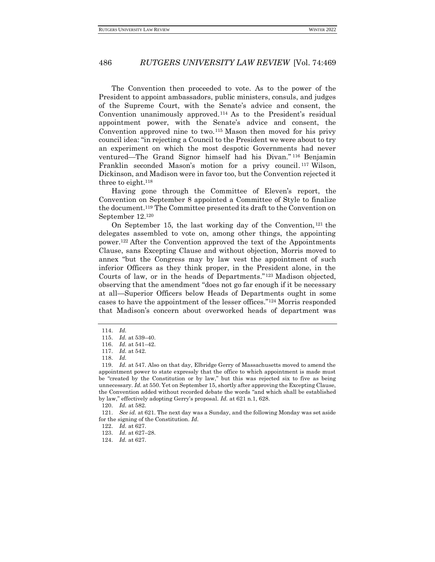The Convention then proceeded to vote. As to the power of the President to appoint ambassadors, public ministers, consuls, and judges of the Supreme Court, with the Senate's advice and consent, the Convention unanimously approved. <sup>114</sup> As to the President's residual appointment power, with the Senate's advice and consent, the Convention approved nine to two.<sup>115</sup> Mason then moved for his privy council idea: "in rejecting a Council to the President we were about to try an experiment on which the most despotic Governments had never ventured—The Grand Signor himself had his Divan." <sup>116</sup> Benjamin Franklin seconded Mason's motion for a privy council.<sup>117</sup> Wilson, Dickinson, and Madison were in favor too, but the Convention rejected it three to eight.<sup>118</sup>

Having gone through the Committee of Eleven's report, the Convention on September 8 appointed a Committee of Style to finalize the document.<sup>119</sup> The Committee presented its draft to the Convention on September 12.<sup>120</sup>

On September 15, the last working day of the Convention, <sup>121</sup> the delegates assembled to vote on, among other things, the appointing power.<sup>122</sup> After the Convention approved the text of the Appointments Clause, sans Excepting Clause and without objection, Morris moved to annex "but the Congress may by law vest the appointment of such inferior Officers as they think proper, in the President alone, in the Courts of law, or in the heads of Departments." <sup>123</sup> Madison objected, observing that the amendment "does not go far enough if it be necessary at all—Superior Officers below Heads of Departments ought in some cases to have the appointment of the lesser offices."<sup>124</sup> Morris responded that Madison's concern about overworked heads of department was

<sup>114.</sup> *Id.*

<sup>115.</sup> *Id.* at 539–40.

<sup>116.</sup> *Id.* at 541–42.

<sup>117.</sup> *Id.* at 542.

<sup>118.</sup> *Id.*

<sup>119.</sup> *Id.* at 547. Also on that day, Elbridge Gerry of Massachusetts moved to amend the appointment power to state expressly that the office to which appointment is made must be "created by the Constitution or by law," but this was rejected six to five as being unnecessary. *Id.* at 550. Yet on September 15, shortly after approving the Excepting Clause, the Convention added without recorded debate the words "and which shall be established by law," effectively adopting Gerry's proposal. *Id.* at 621 n.1, 628.

<sup>120.</sup> *Id.* at 582.

<sup>121.</sup> *See id.* at 621. The next day was a Sunday, and the following Monday was set aside for the signing of the Constitution. *Id.*

<sup>122.</sup> *Id.* at 627.

<sup>123.</sup> *Id.* at 627–28.

<sup>124.</sup> *Id.* at 627.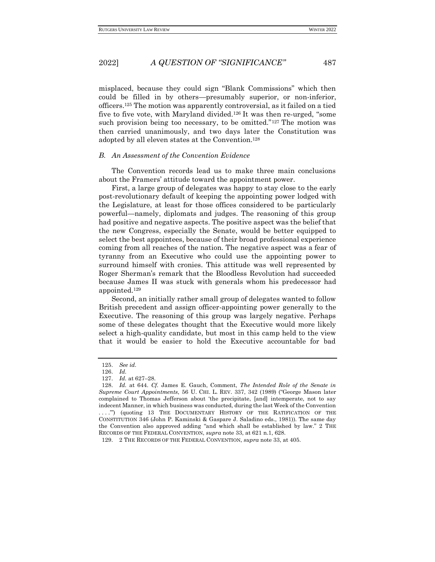misplaced, because they could sign "Blank Commissions" which then could be filled in by others—presumably superior, or non-inferior, officers.<sup>125</sup> The motion was apparently controversial, as it failed on a tied five to five vote, with Maryland divided.<sup>126</sup> It was then re-urged, "some such provision being too necessary, to be omitted."<sup>127</sup> The motion was then carried unanimously, and two days later the Constitution was adopted by all eleven states at the Convention.<sup>128</sup>

# <span id="page-18-0"></span>*B. An Assessment of the Convention Evidence*

The Convention records lead us to make three main conclusions about the Framers' attitude toward the appointment power.

First, a large group of delegates was happy to stay close to the early post-revolutionary default of keeping the appointing power lodged with the Legislature, at least for those offices considered to be particularly powerful—namely, diplomats and judges. The reasoning of this group had positive and negative aspects. The positive aspect was the belief that the new Congress, especially the Senate, would be better equipped to select the best appointees, because of their broad professional experience coming from all reaches of the nation. The negative aspect was a fear of tyranny from an Executive who could use the appointing power to surround himself with cronies. This attitude was well represented by Roger Sherman's remark that the Bloodless Revolution had succeeded because James II was stuck with generals whom his predecessor had appointed.<sup>129</sup>

Second, an initially rather small group of delegates wanted to follow British precedent and assign officer-appointing power generally to the Executive. The reasoning of this group was largely negative. Perhaps some of these delegates thought that the Executive would more likely select a high-quality candidate, but most in this camp held to the view that it would be easier to hold the Executive accountable for bad

<sup>125.</sup> *See id.*

<sup>126.</sup> *Id.*

<sup>127.</sup> *Id.* at 627–28.

<sup>128.</sup> *Id.* at 644. *Cf.* James E. Gauch, Comment, *The Intended Role of the Senate in Supreme Court Appointments*, 56 U. CHI. L. REV. 337, 342 (1989) ("George Mason later complained to Thomas Jefferson about 'the precipitate, [and] intemperate, not to say indecent Manner, in which business was conducted, during the last Week of the Convention . . . .'") (quoting 13 THE DOCUMENTARY HISTORY OF THE RATIFICATION OF THE CONSTITUTION 346 (John P. Kaminski & Gaspare J. Saladino eds., 1981)). The same day the Convention also approved adding "and which shall be established by law." 2 THE RECORDS OF THE FEDERAL CONVENTION, *supra* note 33, at 621 n.1, 628.

<sup>129.</sup> 2 THE RECORDS OF THE FEDERAL CONVENTION, *supra* note 33, at 405.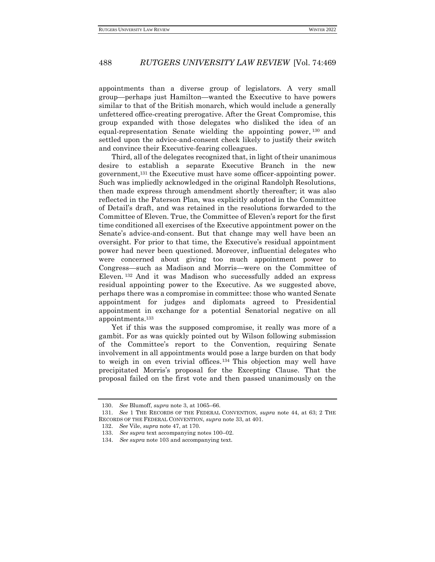appointments than a diverse group of legislators. A very small group—perhaps just Hamilton—wanted the Executive to have powers similar to that of the British monarch, which would include a generally unfettered office-creating prerogative. After the Great Compromise, this group expanded with those delegates who disliked the idea of an equal-representation Senate wielding the appointing power, <sup>130</sup> and settled upon the advice-and-consent check likely to justify their switch and convince their Executive-fearing colleagues.

Third, all of the delegates recognized that, in light of their unanimous desire to establish a separate Executive Branch in the new government,<sup>131</sup> the Executive must have some officer-appointing power. Such was impliedly acknowledged in the original Randolph Resolutions, then made express through amendment shortly thereafter; it was also reflected in the Paterson Plan, was explicitly adopted in the Committee of Detail's draft, and was retained in the resolutions forwarded to the Committee of Eleven. True, the Committee of Eleven's report for the first time conditioned all exercises of the Executive appointment power on the Senate's advice-and-consent. But that change may well have been an oversight. For prior to that time, the Executive's residual appointment power had never been questioned. Moreover, influential delegates who were concerned about giving too much appointment power to Congress—such as Madison and Morris—were on the Committee of Eleven. <sup>132</sup> And it was Madison who successfully added an express residual appointing power to the Executive. As we suggested above, perhaps there was a compromise in committee: those who wanted Senate appointment for judges and diplomats agreed to Presidential appointment in exchange for a potential Senatorial negative on all appointments.<sup>133</sup>

Yet if this was the supposed compromise, it really was more of a gambit. For as was quickly pointed out by Wilson following submission of the Committee's report to the Convention, requiring Senate involvement in all appointments would pose a large burden on that body to weigh in on even trivial offices. <sup>134</sup> This objection may well have precipitated Morris's proposal for the Excepting Clause. That the proposal failed on the first vote and then passed unanimously on the

<sup>130.</sup> *See* Blumoff, *supra* note [3,](#page-3-1) at 1065–66.

<sup>131.</sup> *See* 1 THE RECORDS OF THE FEDERAL CONVENTION, *supra* note 44, at 63; 2 THE RECORDS OF THE FEDERAL CONVENTION, *supra* note 33, at 401.

<sup>132.</sup> *See* Vile, *supra* note 47, at 170.

<sup>133.</sup> *See supra* text accompanying notes 100–02.

<sup>134.</sup> *See supra* note 103 and accompanying text.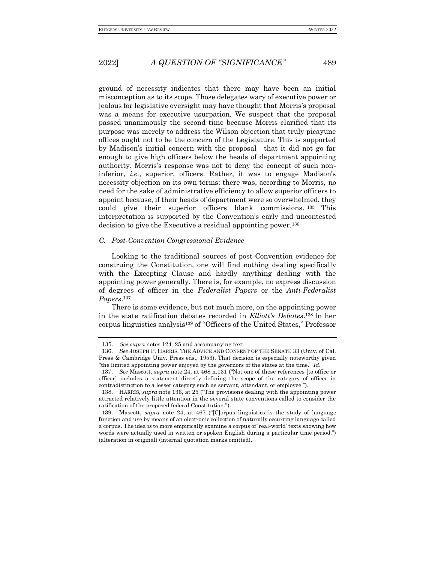ground of necessity indicates that there may have been an initial misconception as to its scope. Those delegates wary of executive power or jealous for legislative oversight may have thought that Morris's proposal was a means for executive usurpation. We suspect that the proposal passed unanimously the second time because Morris clarified that its purpose was merely to address the Wilson objection that truly picayune offices ought not to be the concern of the Legislature. This is supported by Madison's initial concern with the proposal—that it did not go far enough to give high officers below the heads of department appointing authority. Morris's response was not to deny the concept of such noninferior, *i.e.*, superior, officers. Rather, it was to engage Madison's necessity objection on its own terms: there was, according to Morris, no need for the sake of administrative efficiency to allow superior officers to appoint because, if their heads of department were so overwhelmed, they could give their superior officers blank commissions. <sup>135</sup> This interpretation is supported by the Convention's early and uncontested decision to give the Executive a residual appointing power.<sup>136</sup>

#### <span id="page-20-0"></span>*C. Post-Convention Congressional Evidence*

Looking to the traditional sources of post-Convention evidence for construing the Constitution, one will find nothing dealing specifically with the Excepting Clause and hardly anything dealing with the appointing power generally. There is, for example, no express discussion of degrees of officer in the *Federalist Papers* or the *Anti-Federalist Papers*. 137

There is some evidence, but not much more, on the appointing power in the state ratification debates recorded in *Elliott's Debates*. <sup>138</sup> In her corpus linguistics analysis<sup>139</sup> of "Officers of the United States," Professor

<sup>135.</sup> *See supra* notes 124–25 and accompanying text.

<sup>136.</sup> *See* JOSEPH P. HARRIS, THE ADVICE AND CONSENT OF THE SENATE 33 (Univ. of Cal. Press & Cambridge Univ. Press eds., 1953). That decision is especially noteworthy given "the limited appointing power enjoyed by the governors of the states at the time." *Id.*

<sup>137.</sup> *See* Mascott, *supra* note 24, at 468 n.131 ("Not one of these references [to office or officer] includes a statement directly defining the scope of the category of officer in contradistinction to a lesser category such as servant, attendant, or employee.").

<sup>138.</sup> HARRIS, *supra* note 136, at 25 ("The provisions dealing with the appointing power attracted relatively little attention in the several state conventions called to consider the ratification of the proposed federal Constitution.").

<sup>139.</sup> Mascott, *supra* note 24, at 467 ("[C]orpus linguistics is the study of language function and use by means of an electronic collection of naturally occurring language called a corpus. The idea is to more empirically examine a corpus of 'real-world' texts showing how words were actually used in written or spoken English during a particular time period.") (alteration in original) (internal quotation marks omitted).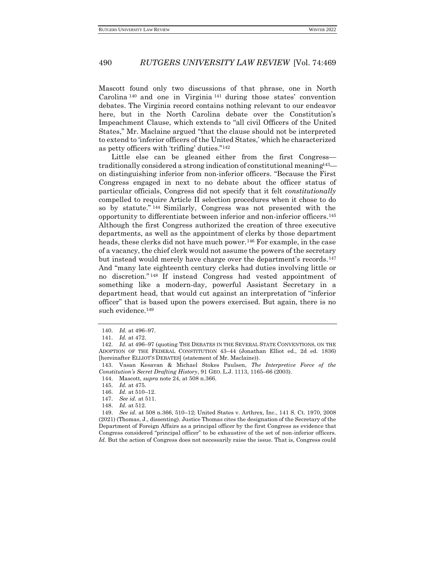Mascott found only two discussions of that phrase, one in North Carolina <sup>140</sup> and one in Virginia <sup>141</sup> during those states' convention debates. The Virginia record contains nothing relevant to our endeavor here, but in the North Carolina debate over the Constitution's Impeachment Clause, which extends to "all civil Officers of the United States," Mr. Maclaine argued "that the clause should not be interpreted to extend to 'inferior officers of the United States,' which he characterized as petty officers with 'trifling' duties."<sup>142</sup>

Little else can be gleaned either from the first Congress traditionally considered a strong indication of constitutional meaning  $43$ on distinguishing inferior from non-inferior officers. "Because the First Congress engaged in next to no debate about the officer status of particular officials, Congress did not specify that it felt *constitutionally* compelled to require Article II selection procedures when it chose to do so by statute." <sup>144</sup> Similarly, Congress was not presented with the opportunity to differentiate between inferior and non-inferior officers.<sup>145</sup> Although the first Congress authorized the creation of three executive departments, as well as the appointment of clerks by those department heads, these clerks did not have much power.<sup>146</sup> For example, in the case of a vacancy, the chief clerk would not assume the powers of the secretary but instead would merely have charge over the department's records.<sup>147</sup> And "many late eighteenth century clerks had duties involving little or no discretion." <sup>148</sup> If instead Congress had vested appointment of something like a modern-day, powerful Assistant Secretary in a department head, that would cut against an interpretation of "inferior officer" that is based upon the powers exercised. But again, there is no such evidence.<sup>149</sup>

<sup>140.</sup> *Id.* at 496–97.

<sup>141.</sup> *Id.* at 472.

<sup>142.</sup> *Id.* at 496–97 (quoting THE DEBATES IN THE SEVERAL STATE CONVENTIONS, ON THE ADOPTION OF THE FEDERAL CONSTITUTION 43–44 (Jonathan Elliot ed., 2d ed. 1836) [hereinafter ELLIOT'S DEBATES] (statement of Mr. Maclaine)).

<sup>143.</sup> Vasan Kesavan & Michael Stokes Paulsen, *The Interpretive Force of the Constitution's Secret Drafting History*, 91 GEO. L.J. 1113, 1165–66 (2003).

<sup>144.</sup> Mascott, *supra* note 24, at 508 n.366.

<sup>145.</sup> *Id.* at 475.

<sup>146.</sup> *Id.* at 510–12.

<sup>147.</sup> *See id.* at 511.

<sup>148.</sup> *Id.* at 512.

<sup>149.</sup> *See id.* at 508 n.366, 510–12; United States v. Arthrex, Inc., 141 S. Ct. 1970, 2008 (2021) (Thomas, J., dissenting). Justice Thomas cites the designation of the Secretary of the Department of Foreign Affairs as a principal officer by the first Congress as evidence that Congress considered "principal officer" to be exhaustive of the set of non-inferior officers. Id. But the action of Congress does not necessarily raise the issue. That is, Congress could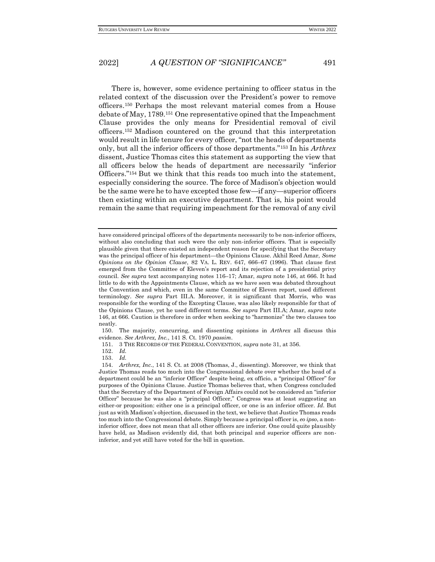There is, however, some evidence pertaining to officer status in the related context of the discussion over the President's power to remove officers. <sup>150</sup> Perhaps the most relevant material comes from a House debate of May, 1789.<sup>151</sup> One representative opined that the Impeachment Clause provides the only means for Presidential removal of civil officers. <sup>152</sup> Madison countered on the ground that this interpretation would result in life tenure for every officer, "not the heads of departments only, but all the inferior officers of those departments."<sup>153</sup> In his *Arthrex* dissent, Justice Thomas cites this statement as supporting the view that all officers below the heads of department are necessarily "inferior Officers."<sup>154</sup> But we think that this reads too much into the statement, especially considering the source. The force of Madison's objection would be the same were he to have excepted those few—if any—superior officers then existing within an executive department. That is, his point would remain the same that requiring impeachment for the removal of any civil

152. *Id.*

have considered principal officers of the departments necessarily to be non-inferior officers, without also concluding that such were the only non-inferior officers. That is especially plausible given that there existed an independent reason for specifying that the Secretary was the principal officer of his department—the Opinions Clause. Akhil Reed Amar, *Some Opinions on the Opinion Clause*, 82 VA. L. REV. 647, 666–67 (1996). That clause first emerged from the Committee of Eleven's report and its rejection of a presidential privy council. *See supra* text accompanying notes 116–17; Amar, *supra* note 146, at 666. It had little to do with the Appointments Clause, which as we have seen was debated throughout the Convention and which, even in the same Committee of Eleven report, used different terminology. *See supra* Part III.A. Moreover, it is significant that Morris, who was responsible for the wording of the Excepting Clause, was also likely responsible for that of the Opinions Clause, yet he used different terms. *See supra* Part III.A; Amar, *supra* note 146, at 666. Caution is therefore in order when seeking to "harmonize" the two clauses too neatly.

<sup>150.</sup> The majority, concurring, and dissenting opinions in *Arthrex* all discuss this evidence. *See Arthrex, Inc.*, 141 S. Ct. 1970 *passim*.

<sup>151.</sup> 3 THE RECORDS OF THE FEDERAL CONVENTION, *supra* note 31, at 356.

<sup>153.</sup> *Id.*

<sup>154.</sup> *Arthrex, Inc.*, 141 S. Ct. at 2008 (Thomas, J., dissenting). Moreover, we think that Justice Thomas reads too much into the Congressional debate over whether the head of a department could be an "inferior Officer" despite being, ex officio, a "principal Officer" for purposes of the Opinions Clause. Justice Thomas believes that, when Congress concluded that the Secretary of the Department of Foreign Affairs could not be considered an "inferior Officer" because he was also a "principal Officer," Congress was at least suggesting an either-or proposition: either one is a principal officer, or one is an inferior officer. *Id.* But just as with Madison's objection, discussed in the text, we believe that Justice Thomas reads too much into the Congressional debate. Simply because a principal officer is, *eo ipso*, a noninferior officer, does not mean that all other officers are inferior. One could quite plausibly have held, as Madison evidently did, that both principal and superior officers are noninferior, and yet still have voted for the bill in question.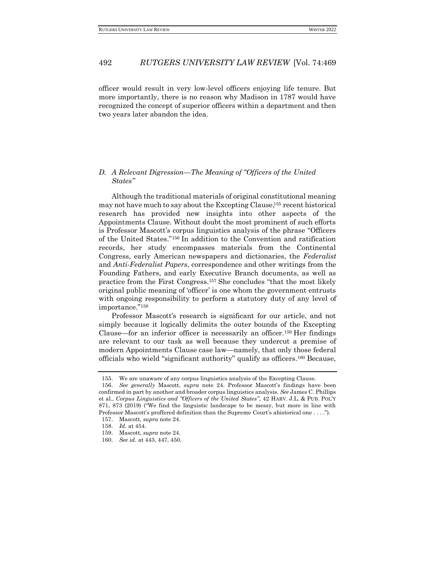officer would result in very low-level officers enjoying life tenure. But more importantly, there is no reason why Madison in 1787 would have recognized the concept of superior officers within a department and then two years later abandon the idea.

### <span id="page-23-0"></span>*D. A Relevant Digression—The Meaning of "Officers of the United States"*

Although the traditional materials of original constitutional meaning may not have much to say about the Excepting Clause, <sup>155</sup> recent historical research has provided new insights into other aspects of the Appointments Clause. Without doubt the most prominent of such efforts is Professor Mascott's corpus linguistics analysis of the phrase "Officers of the United States."<sup>156</sup> In addition to the Convention and ratification records, her study encompasses materials from the Continental Congress, early American newspapers and dictionaries, the *Federalist* and *Anti-Federalist Papers*, correspondence and other writings from the Founding Fathers, and early Executive Branch documents, as well as practice from the First Congress.<sup>157</sup> She concludes "that the most likely original public meaning of 'officer' is one whom the government entrusts with ongoing responsibility to perform a statutory duty of any level of importance."<sup>158</sup>

Professor Mascott's research is significant for our article, and not simply because it logically delimits the outer bounds of the Excepting Clause—for an inferior officer is necessarily an officer.<sup>159</sup> Her findings are relevant to our task as well because they undercut a premise of modern Appointments Clause case law—namely, that only those federal officials who wield "significant authority" qualify as officers.<sup>160</sup> Because,

<sup>155.</sup> We are unaware of any corpus linguistics analysis of the Excepting Clause.

<sup>156.</sup> *See generally* Mascott, *supra* note 24. Professor Mascott's findings have been confirmed in part by another and broader corpus linguistics analysis. *See* James C. Phillips et al., *Corpus Linguistics and "Officers of the United States"*, 42 HARV. J.L. & PUB. POL'Y 871, 873 (2019) ("We find the linguistic landscape to be messy, but more in line with Professor Mascott's proffered definition than the Supreme Court's ahistorical one . . . ."). 157. Mascott, *supra* note 24.

<sup>158.</sup> *Id.* at 454.

<sup>159.</sup> Mascott, *supra* note 24.

<sup>160.</sup> *See id.* at 443, 447, 450.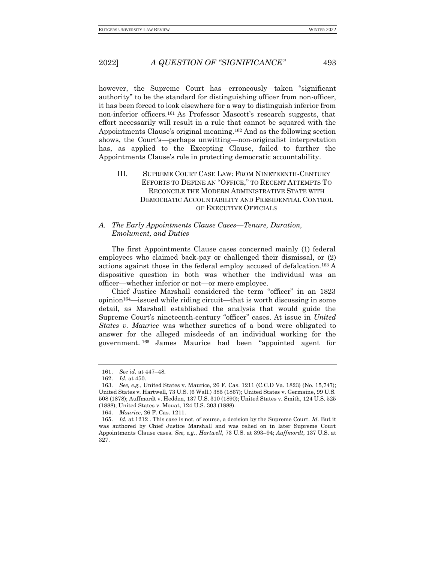however, the Supreme Court has—erroneously—taken "significant authority" to be the standard for distinguishing officer from non-officer, it has been forced to look elsewhere for a way to distinguish inferior from non-inferior officers.<sup>161</sup> As Professor Mascott's research suggests, that effort necessarily will result in a rule that cannot be squared with the Appointments Clause's original meaning.<sup>162</sup> And as the following section shows, the Court's—perhaps unwitting—non-originalist interpretation has, as applied to the Excepting Clause, failed to further the Appointments Clause's role in protecting democratic accountability.

## <span id="page-24-0"></span>III. SUPREME COURT CASE LAW: FROM NINETEENTH-CENTURY EFFORTS TO DEFINE AN "OFFICE," TO RECENT ATTEMPTS TO RECONCILE THE MODERN ADMINISTRATIVE STATE WITH DEMOCRATIC ACCOUNTABILITY AND PRESIDENTIAL CONTROL OF EXECUTIVE OFFICIALS

#### <span id="page-24-1"></span>*A. The Early Appointments Clause Cases—Tenure, Duration, Emolument, and Duties*

The first Appointments Clause cases concerned mainly (1) federal employees who claimed back-pay or challenged their dismissal, or (2) actions against those in the federal employ accused of defalcation.<sup>163</sup> A dispositive question in both was whether the individual was an officer—whether inferior or not—or mere employee.

Chief Justice Marshall considered the term "officer" in an 1823 opinion164—issued while riding circuit—that is worth discussing in some detail, as Marshall established the analysis that would guide the Supreme Court's nineteenth-century "officer" cases. At issue in *United States v. Maurice* was whether sureties of a bond were obligated to answer for the alleged misdeeds of an individual working for the government. <sup>165</sup> James Maurice had been "appointed agent for

<sup>161.</sup> *See id.* at 447–48.

<sup>162.</sup> *Id.* at 450.

<sup>163.</sup> *See, e.g.*, United States v. Maurice, 26 F. Cas. 1211 (C.C.D Va. 1823) (No. 15,747); United States v. Hartwell, 73 U.S. (6 Wall.) 385 (1867); United States v. Germaine, 99 U.S. 508 (1878); Auffmordt v. Hedden, 137 U.S. 310 (1890); United States v. Smith, 124 U.S. 525 (1888); United States v. Mouat, 124 U.S. 303 (1888).

<sup>164.</sup> *Maurice*, 26 F. Cas. 1211.

<sup>165.</sup> *Id.* at 1212 . This case is not, of course, a decision by the Supreme Court. *Id.* But it was authored by Chief Justice Marshall and was relied on in later Supreme Court Appointments Clause cases. *See, e.g.*, *Hartwell*, 73 U.S. at 393–94; *Auffmordt*, 137 U.S. at 327.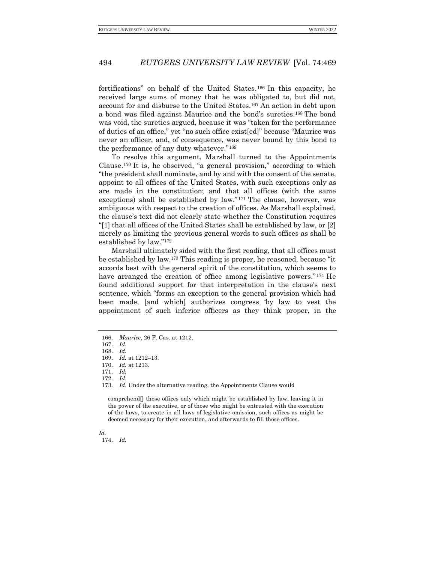fortifications" on behalf of the United States. <sup>166</sup> In this capacity, he received large sums of money that he was obligated to, but did not, account for and disburse to the United States.<sup>167</sup> An action in debt upon a bond was filed against Maurice and the bond's sureties.<sup>168</sup> The bond was void, the sureties argued, because it was "taken for the performance of duties of an office," yet "no such office exist[ed]" because "Maurice was never an officer, and, of consequence, was never bound by this bond to the performance of any duty whatever."<sup>169</sup>

To resolve this argument, Marshall turned to the Appointments Clause.<sup>170</sup> It is, he observed, "a general provision," according to which "the president shall nominate, and by and with the consent of the senate, appoint to all offices of the United States, with such exceptions only as are made in the constitution; and that all offices (with the same exceptions) shall be established by law."<sup>171</sup> The clause, however, was ambiguous with respect to the creation of offices. As Marshall explained, the clause's text did not clearly state whether the Constitution requires "[1] that all offices of the United States shall be established by law, or [2] merely as limiting the previous general words to such offices as shall be established by law."<sup>172</sup>

Marshall ultimately sided with the first reading, that all offices must be established by law.<sup>173</sup> This reading is proper, he reasoned, because "it accords best with the general spirit of the constitution, which seems to have arranged the creation of office among legislative powers." <sup>174</sup> He found additional support for that interpretation in the clause's next sentence, which "forms an exception to the general provision which had been made, [and which] authorizes congress 'by law to vest the appointment of such inferior officers as they think proper, in the

173. *Id.* Under the alternative reading, the Appointments Clause would

comprehend[] those offices only which might be established by law, leaving it in the power of the executive, or of those who might be entrusted with the execution of the laws, to create in all laws of legislative omission, such offices as might be deemed necessary for their execution, and afterwards to fill those offices.

#### *Id.* 174. *Id.*

<sup>166.</sup> *Maurice*, 26 F. Cas. at 1212.

<sup>167.</sup> *Id.*

<sup>168.</sup> *Id.*

<sup>169.</sup> *Id.* at 1212–13.

<sup>170.</sup> *Id.* at 1213.

<sup>171.</sup> *Id.*

<sup>172.</sup> *Id.*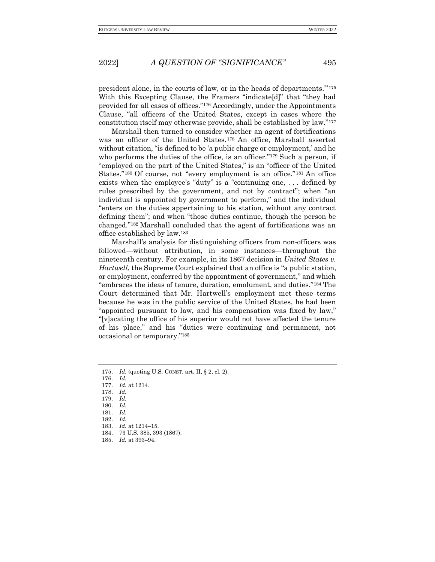president alone, in the courts of law, or in the heads of departments.'"<sup>175</sup> With this Excepting Clause, the Framers "indicate[d]" that "they had provided for all cases of offices."<sup>176</sup> Accordingly, under the Appointments Clause, "all officers of the United States, except in cases where the constitution itself may otherwise provide, shall be established by law."<sup>177</sup>

Marshall then turned to consider whether an agent of fortifications was an officer of the United States. <sup>178</sup> An office, Marshall asserted without citation, "is defined to be 'a public charge or employment,' and he who performs the duties of the office, is an officer."<sup>179</sup> Such a person, if "employed on the part of the United States," is an "officer of the United States."<sup>180</sup> Of course, not "every employment is an office."<sup>181</sup> An office exists when the employee's "duty" is a "continuing one, . . . defined by rules prescribed by the government, and not by contract"; when "an individual is appointed by government to perform," and the individual "enters on the duties appertaining to his station, without any contract defining them"; and when "those duties continue, though the person be changed."<sup>182</sup> Marshall concluded that the agent of fortifications was an office established by law.<sup>183</sup>

Marshall's analysis for distinguishing officers from non-officers was followed—without attribution, in some instances—throughout the nineteenth century. For example, in its 1867 decision in *United States v. Hartwell*, the Supreme Court explained that an office is "a public station, or employment, conferred by the appointment of government," and which "embraces the ideas of tenure, duration, emolument, and duties."<sup>184</sup> The Court determined that Mr. Hartwell's employment met these terms because he was in the public service of the United States, he had been "appointed pursuant to law, and his compensation was fixed by law," "[v]acating the office of his superior would not have affected the tenure of his place," and his "duties were continuing and permanent, not occasional or temporary."<sup>185</sup>

- 179. *Id.*
- 180. *Id.*
- 181. *Id.*
- 182. *Id.*
- 183. *Id.* at 1214–15. 184. 73 U.S. 385, 393 (1867).
- 185. *Id.* at 393–94.
- 

<sup>175.</sup> *Id.* (quoting U.S. CONST. art. II, § 2, cl. 2).

<sup>176.</sup> *Id.*

<sup>177.</sup> *Id.* at 1214.

<sup>178.</sup> *Id.*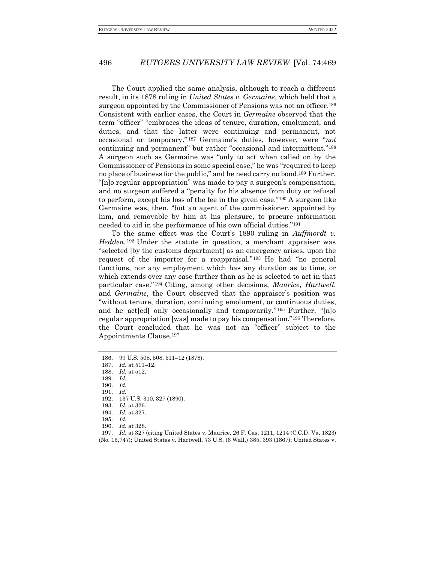The Court applied the same analysis, although to reach a different result, in its 1878 ruling in *United States v. Germaine*, which held that a surgeon appointed by the Commissioner of Pensions was not an officer.<sup>186</sup> Consistent with earlier cases, the Court in *Germaine* observed that the term "officer" "embraces the ideas of tenure, duration, emolument, and duties, and that the latter were continuing and permanent, not occasional or temporary." <sup>187</sup> Germaine's duties, however, were "*not*  continuing and permanent" but rather "occasional and intermittent."<sup>188</sup> A surgeon such as Germaine was "only to act when called on by the Commissioner of Pensions in some special case," he was "required to keep no place of business for the public," and he need carry no bond. <sup>189</sup> Further, "[n]o regular appropriation" was made to pay a surgeon's compensation, and no surgeon suffered a "penalty for his absence from duty or refusal to perform, except his loss of the fee in the given case."<sup>190</sup> A surgeon like Germaine was, then, "but an agent of the commissioner, appointed by him, and removable by him at his pleasure, to procure information needed to aid in the performance of his own official duties."<sup>191</sup>

To the same effect was the Court's 1890 ruling in *Auffmordt v. Hedden*. <sup>192</sup> Under the statute in question, a merchant appraiser was "selected [by the customs department] as an emergency arises, upon the request of the importer for a reappraisal." <sup>193</sup> He had "no general functions, nor any employment which has any duration as to time, or which extends over any case further than as he is selected to act in that particular case." <sup>194</sup> Citing, among other decisions, *Maurice*, *Hartwell*, and *Germaine*, the Court observed that the appraiser's position was "without tenure, duration, continuing emolument, or continuous duties, and he act[ed] only occasionally and temporarily." <sup>195</sup> Further, "[n]o regular appropriation [was] made to pay his compensation."<sup>196</sup> Therefore, the Court concluded that he was not an "officer" subject to the Appointments Clause.<sup>197</sup>

- 188. *Id.* at 512.
- 189. *Id.*
- 190. *Id.*
- 191. *Id.*
- 192. 137 U.S. 310, 327 (1890).
- 193. *Id.* at 326.
- 194. *Id.* at 327.
- 195. *Id.*
- 196. *Id.* at 328.

197. *Id.* at 327 (citing United States v. Maurice, 26 F. Cas. 1211, 1214 (C.C.D. Va. 1823) (No. 15,747); United States v. Hartwell, 73 U.S. (6 Wall.) 385, 393 (1867); United States v.

<sup>186.</sup> 99 U.S. 508, 508, 511–12 (1878).

<sup>187.</sup> *Id.* at 511–12.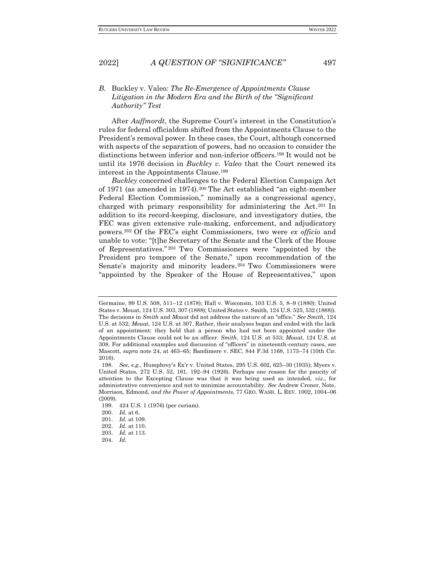### <span id="page-28-0"></span>*B.* Buckley v. Valeo*: The Re-Emergence of Appointments Clause Litigation in the Modern Era and the Birth of the "Significant Authority" Test*

After *Auffmordt*, the Supreme Court's interest in the Constitution's rules for federal officialdom shifted from the Appointments Clause to the President's removal power. In these cases, the Court, although concerned with aspects of the separation of powers, had no occasion to consider the distinctions between inferior and non-inferior officers.<sup>198</sup> It would not be until its 1976 decision in *Buckley v. Valeo* that the Court renewed its interest in the Appointments Clause.<sup>199</sup>

*Buckley* concerned challenges to the Federal Election Campaign Act of 1971 (as amended in 1974).<sup>200</sup> The Act established "an eight-member Federal Election Commission," nominally as a congressional agency, charged with primary responsibility for administering the Act. <sup>201</sup> In addition to its record-keeping, disclosure, and investigatory duties, the FEC was given extensive rule-making, enforcement, and adjudicatory powers.<sup>202</sup> Of the FEC's eight Commissioners, two were *ex officio* and unable to vote: "[t]he Secretary of the Senate and the Clerk of the House of Representatives." <sup>203</sup> Two Commissioners were "appointed by the President pro tempore of the Senate," upon recommendation of the Senate's majority and minority leaders. <sup>204</sup> Two Commissioners were "appointed by the Speaker of the House of Representatives," upon

Germaine, 99 U.S. 508, 511–12 (1878); Hall v. Wisconsin, 103 U.S. 5, 8–9 (1880); United States v. Mouat, 124 U.S. 303, 307 (1888); United States v. Smith, 124 U.S. 525, 532 (1888)). The decisions in *Smith* and *Mouat* did not address the nature of an "office." *See Smith*, 124 U.S. at 532; *Mouat*, 124 U.S. at 307. Rather, their analyses began and ended with the lack of an appointment: they held that a person who had not been appointed under the Appointments Clause could not be an officer. *Smith*, 124 U.S. at 533; *Mouat*, 124 U.S. at 308. For additional examples and discussion of "officers" in nineteenth-century cases, see Mascott, *supra* note 24, at 463–65; Bandimere v. SEC, 844 F.3d 1168, 1173–74 (10th Cir. 2016).

<sup>198.</sup> *See, e.g.*, Humphrey's Ex'r v. United States, 295 U.S. 602, 625–30 (1935); Myers v. United States, 272 U.S. 52, 161, 192–94 (1926). Perhaps one reason for the paucity of attention to the Excepting Clause was that it was being used as intended, *viz*., for administrative convenience and not to minimize accountability. *See* Andrew Croner, Note, Morrison, Edmond, *and the Power of Appointments*, 77 GEO. WASH. L. REV. 1002, 1004–06 (2009).

<sup>199.</sup> 424 U.S. 1 (1976) (per curiam).

<sup>200.</sup> *Id.* at 6.

<sup>201.</sup> *Id.* at 109.

<sup>202.</sup> *Id.* at 110.

<sup>203.</sup> *Id.* at 113.

<sup>204.</sup> *Id.*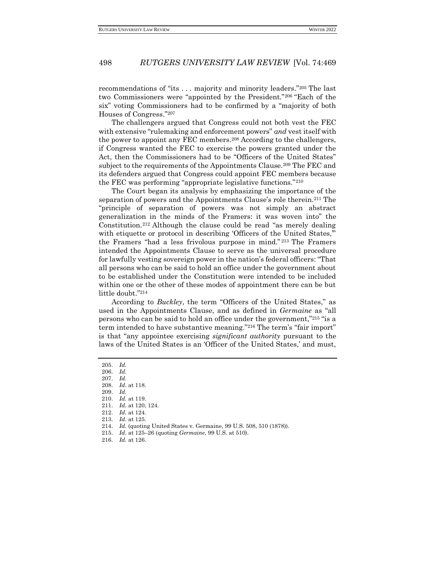recommendations of "its . . . majority and minority leaders."<sup>205</sup> The last two Commissioners were "appointed by the President."<sup>206</sup> "Each of the six" voting Commissioners had to be confirmed by a "majority of both Houses of Congress."<sup>207</sup>

The challengers argued that Congress could not both vest the FEC with extensive "rulemaking and enforcement powers" *and* vest itself with the power to appoint any FEC members.<sup>208</sup> According to the challengers, if Congress wanted the FEC to exercise the powers granted under the Act, then the Commissioners had to be "Officers of the United States" subject to the requirements of the Appointments Clause.<sup>209</sup> The FEC and its defenders argued that Congress could appoint FEC members because the FEC was performing "appropriate legislative functions."<sup>210</sup>

The Court began its analysis by emphasizing the importance of the separation of powers and the Appointments Clause's role therein.<sup>211</sup> The "principle of separation of powers was not simply an abstract generalization in the minds of the Framers: it was woven into" the Constitution.<sup>212</sup> Although the clause could be read "as merely dealing with etiquette or protocol in describing 'Officers of the United States," the Framers "had a less frivolous purpose in mind." <sup>213</sup> The Framers intended the Appointments Clause to serve as the universal procedure for lawfully vesting sovereign power in the nation's federal officers: "That all persons who can be said to hold an office under the government about to be established under the Constitution were intended to be included within one or the other of these modes of appointment there can be but little doubt."<sup>214</sup>

According to *Buckley*, the term "Officers of the United States," as used in the Appointments Clause, and as defined in *Germaine* as "all persons who can be said to hold an office under the government,"<sup>215</sup> "is a term intended to have substantive meaning."<sup>216</sup> The term's "fair import" is that "any appointee exercising *significant authority* pursuant to the laws of the United States is an 'Officer of the United States,' and must,

- 214. *Id.* (quoting United States v. Germaine, 99 U.S. 508, 510 (1878)).
- 215. *Id.* at 125–26 (quoting *Germaine*, 99 U.S. at 510).

<sup>205.</sup> *Id.*

<sup>206.</sup> *Id.*

<sup>207.</sup> *Id.*

<sup>208.</sup> *Id.* at 118.

<sup>209.</sup> *Id.*

<sup>210.</sup> *Id.* at 119.

<sup>211.</sup> *Id.* at 120, 124.

<sup>212.</sup> *Id.* at 124.

<sup>213.</sup> *Id.* at 125.

<sup>216.</sup> *Id.* at 126.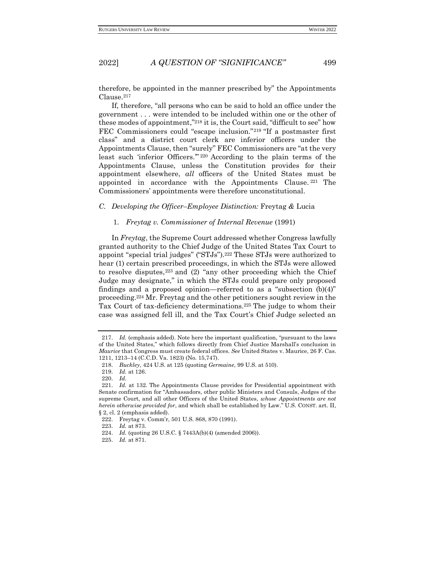therefore, be appointed in the manner prescribed by" the Appointments Clause.<sup>217</sup>

If, therefore, "all persons who can be said to hold an office under the government . . . were intended to be included within one or the other of these modes of appointment,"<sup>218</sup> it is, the Court said, "difficult to see" how FEC Commissioners could "escape inclusion."<sup>219</sup> "If a postmaster first class" and a district court clerk are inferior officers under the Appointments Clause, then "surely" FEC Commissioners are "at the very least such 'inferior Officers.'" <sup>220</sup> According to the plain terms of the Appointments Clause, unless the Constitution provides for their appointment elsewhere, *all* officers of the United States must be appointed in accordance with the Appointments Clause. <sup>221</sup> The Commissioners' appointments were therefore unconstitutional.

### <span id="page-30-1"></span><span id="page-30-0"></span>*C. Developing the Officer–Employee Distinction:* Freytag *&* Lucia

#### 1. *Freytag v. Commissioner of Internal Revenue* (1991)

In *Freytag*, the Supreme Court addressed whether Congress lawfully granted authority to the Chief Judge of the United States Tax Court to appoint "special trial judges" ("STJs").<sup>222</sup> These STJs were authorized to hear (1) certain prescribed proceedings, in which the STJs were allowed to resolve disputes,  $223$  and (2) "any other proceeding which the Chief Judge may designate," in which the STJs could prepare only proposed findings and a proposed opinion—referred to as a "subsection (b)(4)" proceeding.<sup>224</sup> Mr. Freytag and the other petitioners sought review in the Tax Court of tax-deficiency determinations.<sup>225</sup> The judge to whom their case was assigned fell ill, and the Tax Court's Chief Judge selected an

<sup>217.</sup> *Id.* (emphasis added). Note here the important qualification, "pursuant to the laws of the United States," which follows directly from Chief Justice Marshall's conclusion in *Maurice* that Congress must create federal offices. *See* United States v. Maurice, 26 F. Cas. 1211, 1213–14 (C.C.D. Va. 1823) (No. 15,747).

<sup>218.</sup> *Buckley*, 424 U.S. at 125 (quoting *Germaine*, 99 U.S. at 510).

<sup>219.</sup> *Id.* at 126.

<sup>220.</sup> *Id.*

<sup>221.</sup> *Id.* at 132. The Appointments Clause provides for Presidential appointment with Senate confirmation for "Ambassadors, other public Ministers and Consuls, Judges of the supreme Court, and all other Officers of the United States, *whose Appointments are not herein otherwise provided for*, and which shall be established by Law." U.S. CONST. art. II, § 2, cl. 2 (emphasis added).

<sup>222.</sup> Freytag v. Comm'r, 501 U.S. 868, 870 (1991).

<sup>223.</sup> *Id.* at 873.

<sup>224.</sup> *Id.* (quoting 26 U.S.C. § 7443A(b)(4) (amended 2006)).

<sup>225.</sup> *Id.* at 871.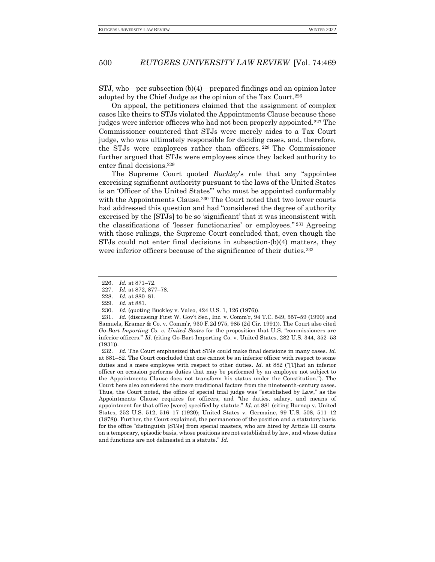STJ, who—per subsection (b)(4)—prepared findings and an opinion later adopted by the Chief Judge as the opinion of the Tax Court.<sup>226</sup>

On appeal, the petitioners claimed that the assignment of complex cases like theirs to STJs violated the Appointments Clause because these judges were inferior officers who had not been properly appointed.<sup>227</sup> The Commissioner countered that STJs were merely aides to a Tax Court judge, who was ultimately responsible for deciding cases, and, therefore, the STJs were employees rather than officers. <sup>228</sup> The Commissioner further argued that STJs were employees since they lacked authority to enter final decisions.<sup>229</sup>

The Supreme Court quoted *Buckley*'s rule that any "appointee exercising significant authority pursuant to the laws of the United States is an 'Officer of the United States'" who must be appointed conformably with the Appointments Clause.<sup>230</sup> The Court noted that two lower courts had addressed this question and had "considered the degree of authority exercised by the [STJs] to be so 'significant' that it was inconsistent with the classifications of 'lesser functionaries' or employees." <sup>231</sup> Agreeing with those rulings, the Supreme Court concluded that, even though the STJs could not enter final decisions in subsection-(b)(4) matters, they were inferior officers because of the significance of their duties.<sup>232</sup>

<sup>226.</sup> *Id.* at 871–72.

<sup>227.</sup> *Id.* at 872, 877–78.

<sup>228.</sup> *Id.* at 880–81.

<sup>229.</sup> *Id.* at 881.

<sup>230.</sup> *Id.* (quoting Buckley v. Valeo, 424 U.S. 1, 126 (1976)).

<sup>231.</sup> *Id.* (discussing First W. Gov't Sec., Inc. v. Comm'r, 94 T.C. 549, 557–59 (1990) and Samuels, Kramer & Co. v. Comm'r, 930 F.2d 975, 985 (2d Cir. 1991)). The Court also cited *Go-Bart Importing Co. v. United States* for the proposition that U.S. "commissioners are inferior officers." *Id.* (citing Go-Bart Importing Co. v. United States, 282 U.S. 344, 352–53 (1931)).

<sup>232.</sup> *Id.* The Court emphasized that STJs could make final decisions in many cases. *Id.*  at 881–82. The Court concluded that one cannot be an inferior officer with respect to some duties and a mere employee with respect to other duties. *Id.* at 882 ("That an inferior officer on occasion performs duties that may be performed by an employee not subject to the Appointments Clause does not transform his status under the Constitution."). The Court here also considered the more traditional factors from the nineteenth-century cases. Thus, the Court noted, the office of special trial judge was "established by Law," as the Appointments Clause requires for officers, and "the duties, salary, and means of appointment for that office [were] specified by statute." *Id.* at 881 (citing Burnap v. United States, 252 U.S. 512, 516–17 (1920); United States v. Germaine, 99 U.S. 508, 511–12 (1878)). Further, the Court explained, the permanence of the position and a statutory basis for the office "distinguish [STJs] from special masters, who are hired by Article III courts on a temporary, episodic basis, whose positions are not established by law, and whose duties and functions are not delineated in a statute." *Id.*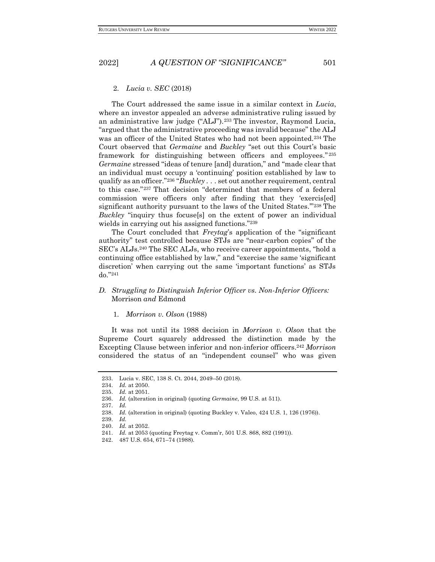#### <span id="page-32-0"></span>2. *Lucia v. SEC* (2018)

The Court addressed the same issue in a similar context in *Lucia*, where an investor appealed an adverse administrative ruling issued by an administrative law judge ("ALJ").<sup>233</sup> The investor, Raymond Lucia, "argued that the administrative proceeding was invalid because" the ALJ was an officer of the United States who had not been appointed.<sup>234</sup> The Court observed that *Germaine* and *Buckley* "set out this Court's basic framework for distinguishing between officers and employees." 235 *Germaine* stressed "ideas of tenure [and] duration," and "made clear that an individual must occupy a 'continuing' position established by law to qualify as an officer."<sup>236</sup> "*Buckley* . . . set out another requirement, central to this case."<sup>237</sup> That decision "determined that members of a federal commission were officers only after finding that they 'exercis[ed] significant authority pursuant to the laws of the United States.'"<sup>238</sup> The *Buckley* "inquiry thus focuse[s] on the extent of power an individual wields in carrying out his assigned functions."<sup>239</sup>

The Court concluded that *Freytag*'s application of the "significant authority" test controlled because STJs are "near-carbon copies" of the SEC's ALJs.<sup>240</sup> The SEC ALJs, who receive career appointments, "hold a continuing office established by law," and "exercise the same 'significant discretion' when carrying out the same 'important functions' as STJs do."<sup>241</sup>

### <span id="page-32-1"></span>*D. Struggling to Distinguish Inferior Officer vs. Non-Inferior Officers:*  Morrison *and* Edmond

#### <span id="page-32-2"></span>1. *Morrison v. Olson* (1988)

It was not until its 1988 decision in *Morrison v. Olson* that the Supreme Court squarely addressed the distinction made by the Excepting Clause between inferior and non-inferior officers.<sup>242</sup> *Morrison* considered the status of an "independent counsel" who was given

<sup>233.</sup> Lucia v. SEC, 138 S. Ct. 2044, 2049–50 (2018).

<sup>234.</sup> *Id.* at 2050.

<sup>235.</sup> *Id.* at 2051.

<sup>236.</sup> *Id.* (alteration in original) (quoting *Germaine*, 99 U.S. at 511).

<sup>237.</sup> *Id.*

<sup>238.</sup> *Id.* (alteration in original) (quoting Buckley v. Valeo, 424 U.S. 1, 126 (1976)).

<sup>239.</sup> *Id.*

<sup>240.</sup> *Id.* at 2052.

<sup>241.</sup> *Id.* at 2053 (quoting Freytag v. Comm'r, 501 U.S. 868, 882 (1991)).

<sup>242.</sup> 487 U.S. 654, 671–74 (1988).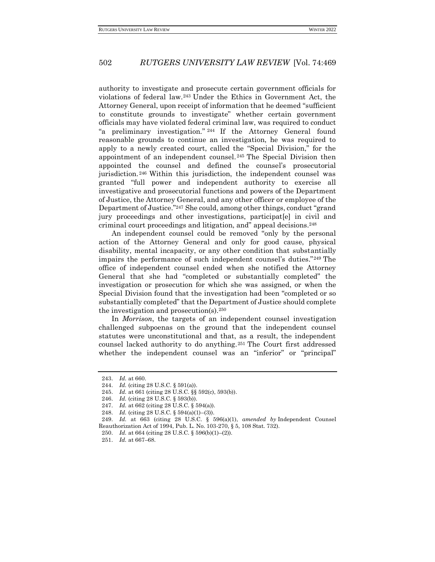authority to investigate and prosecute certain government officials for violations of federal law.<sup>243</sup> Under the Ethics in Government Act, the Attorney General, upon receipt of information that he deemed "sufficient to constitute grounds to investigate" whether certain government officials may have violated federal criminal law, was required to conduct "a preliminary investigation." <sup>244</sup> If the Attorney General found reasonable grounds to continue an investigation, he was required to apply to a newly created court, called the "Special Division," for the appointment of an independent counsel. <sup>245</sup> The Special Division then appointed the counsel and defined the counsel's prosecutorial jurisdiction. <sup>246</sup> Within this jurisdiction, the independent counsel was granted "full power and independent authority to exercise all investigative and prosecutorial functions and powers of the Department of Justice, the Attorney General, and any other officer or employee of the Department of Justice."<sup>247</sup> She could, among other things, conduct "grand jury proceedings and other investigations, participat[e] in civil and criminal court proceedings and litigation, and" appeal decisions.<sup>248</sup>

An independent counsel could be removed "only by the personal action of the Attorney General and only for good cause, physical disability, mental incapacity, or any other condition that substantially impairs the performance of such independent counsel's duties."<sup>249</sup> The office of independent counsel ended when she notified the Attorney General that she had "completed or substantially completed" the investigation or prosecution for which she was assigned, or when the Special Division found that the investigation had been "completed or so substantially completed" that the Department of Justice should complete the investigation and prosecution(s).<sup>250</sup>

In *Morrison*, the targets of an independent counsel investigation challenged subpoenas on the ground that the independent counsel statutes were unconstitutional and that, as a result, the independent counsel lacked authority to do anything.<sup>251</sup> The Court first addressed whether the independent counsel was an "inferior" or "principal"

<sup>243.</sup> *Id.* at 660.

<sup>244.</sup> *Id.* (citing 28 U.S.C. § 591(a)).

<sup>245.</sup> *Id.* at 661 (citing 28 U.S.C. §§ 592(c), 593(b)).

<sup>246.</sup> *Id.* (citing 28 U.S.C. § 593(b)).

<sup>247.</sup> *Id.* at 662 (citing 28 U.S.C. § 594(a)).

<sup>248.</sup> *Id.* (citing 28 U.S.C. § 594(a)(1)–(3)).

<sup>249.</sup> *Id.* at 663 (citing 28 U.S.C. § 596(a)(1), *amended by* Independent Counsel Reauthorization Act of 1994, Pub. L. No. 103-270, § 5, 108 Stat. 732).

<sup>250.</sup> *Id.* at 664 (citing 28 U.S.C. § 596(b)(1)–(2)).

<sup>251.</sup> *Id.* at 667–68.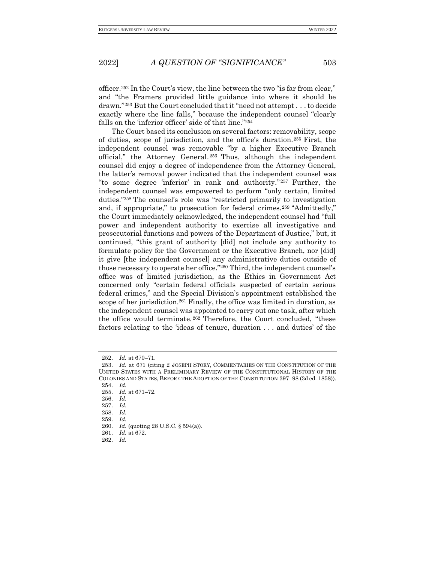officer.<sup>252</sup> In the Court's view, the line between the two "is far from clear," and "the Framers provided little guidance into where it should be drawn."<sup>253</sup> But the Court concluded that it "need not attempt . . . to decide exactly where the line falls," because the independent counsel "clearly falls on the 'inferior officer' side of that line."<sup>254</sup>

The Court based its conclusion on several factors: removability, scope of duties, scope of jurisdiction, and the office's duration.<sup>255</sup> First, the independent counsel was removable "by a higher Executive Branch official," the Attorney General. <sup>256</sup> Thus, although the independent counsel did enjoy a degree of independence from the Attorney General, the latter's removal power indicated that the independent counsel was "to some degree 'inferior' in rank and authority." <sup>257</sup> Further, the independent counsel was empowered to perform "only certain, limited duties."<sup>258</sup> The counsel's role was "restricted primarily to investigation and, if appropriate," to prosecution for federal crimes.<sup>259</sup> "Admittedly," the Court immediately acknowledged, the independent counsel had "full power and independent authority to exercise all investigative and prosecutorial functions and powers of the Department of Justice," but, it continued, "this grant of authority [did] not include any authority to formulate policy for the Government or the Executive Branch, nor [did] it give [the independent counsel] any administrative duties outside of those necessary to operate her office."<sup>260</sup> Third, the independent counsel's office was of limited jurisdiction, as the Ethics in Government Act concerned only "certain federal officials suspected of certain serious federal crimes," and the Special Division's appointment established the scope of her jurisdiction.<sup>261</sup> Finally, the office was limited in duration, as the independent counsel was appointed to carry out one task, after which the office would terminate. <sup>262</sup> Therefore, the Court concluded, "these factors relating to the 'ideas of tenure, duration . . . and duties' of the

254. *Id.*

258. *Id.*

262. *Id.*

<sup>252.</sup> *Id.* at 670–71.

<sup>253.</sup> *Id.* at 671 (citing 2 JOSEPH STORY, COMMENTARIES ON THE CONSTITUTION OF THE UNITED STATES WITH A PRELIMINARY REVIEW OF THE CONSTITUTIONAL HISTORY OF THE COLONIES AND STATES, BEFORE THE ADOPTION OF THE CONSTITUTION 397–98 (3d ed. 1858)).

<sup>255.</sup> *Id.* at 671–72.

<sup>256.</sup> *Id.*

<sup>257.</sup> *Id.*

<sup>259.</sup> *Id.*

<sup>260.</sup> *Id.* (quoting 28 U.S.C. § 594(a)).

<sup>261.</sup> *Id.* at 672.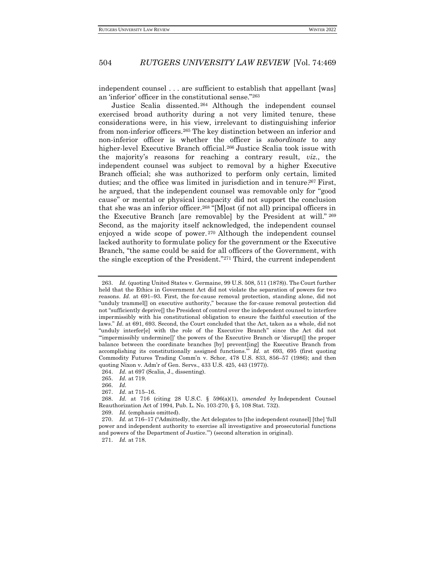independent counsel . . . are sufficient to establish that appellant [was] an 'inferior' officer in the constitutional sense."<sup>263</sup>

Justice Scalia dissented. <sup>264</sup> Although the independent counsel exercised broad authority during a not very limited tenure, these considerations were, in his view, irrelevant to distinguishing inferior from non-inferior officers.<sup>265</sup> The key distinction between an inferior and non-inferior officer is whether the officer is *subordinate* to any higher-level Executive Branch official.<sup>266</sup> Justice Scalia took issue with the majority's reasons for reaching a contrary result, *viz.*, the independent counsel was subject to removal by a higher Executive Branch official; she was authorized to perform only certain, limited duties; and the office was limited in jurisdiction and in tenure.<sup>267</sup> First, he argued, that the independent counsel was removable only for "good cause" or mental or physical incapacity did not support the conclusion that she was an inferior officer.<sup>268</sup> "[M]ost (if not all) principal officers in the Executive Branch [are removable] by the President at will." <sup>269</sup> Second, as the majority itself acknowledged, the independent counsel enjoyed a wide scope of power. <sup>270</sup> Although the independent counsel lacked authority to formulate policy for the government or the Executive Branch, "the same could be said for all officers of the Government, with the single exception of the President."<sup>271</sup> Third, the current independent

269. *Id.* (emphasis omitted).

270. *Id.* at 716–17 ("Admittedly, the Act delegates to [the independent counsel] [the] 'full power and independent authority to exercise all investigative and prosecutorial functions and powers of the Department of Justice.'") (second alteration in original).

<sup>263.</sup> *Id.* (quoting United States v. Germaine, 99 U.S. 508, 511 (1878)). The Court further held that the Ethics in Government Act did not violate the separation of powers for two reasons. *Id.* at 691–93. First, the for-cause removal protection, standing alone, did not "unduly trammel[] on executive authority," because the for-cause removal protection did not "sufficiently deprive[] the President of control over the independent counsel to interfere impermissibly with his constitutional obligation to ensure the faithful execution of the laws." *Id.* at 691, 693. Second, the Court concluded that the Act, taken as a whole, did not "unduly interfer[e] with the role of the Executive Branch" since the Act did not "'impermissibly undermine[]' the powers of the Executive Branch or 'disrupt[] the proper balance between the coordinate branches [by] prevent[ing] the Executive Branch from accomplishing its constitutionally assigned functions.'" *Id.* at 693, 695 (first quoting Commodity Futures Trading Comm'n v. Schor, 478 U.S. 833, 856–57 (1986); and then quoting Nixon v. Adm'r of Gen. Servs., 433 U.S. 425, 443 (1977)).

<sup>264.</sup> *Id.* at 697 (Scalia, J., dissenting).

<sup>265.</sup> *Id.* at 719.

<sup>266.</sup> *Id.*

<sup>267.</sup> *Id.* at 715–16.

<sup>268.</sup> *Id.* at 716 (citing 28 U.S.C. § 596(a)(1), *amended by* Independent Counsel Reauthorization Act of 1994, Pub. L. No. 103-270, § 5, 108 Stat. 732).

<sup>271.</sup> *Id.* at 718.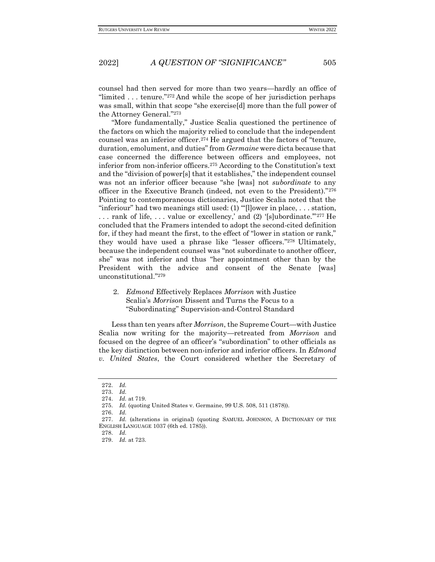counsel had then served for more than two years—hardly an office of "limited . . . tenure."<sup>272</sup> And while the scope of her jurisdiction perhaps was small, within that scope "she exercise[d] more than the full power of the Attorney General." 273

"More fundamentally," Justice Scalia questioned the pertinence of the factors on which the majority relied to conclude that the independent counsel was an inferior officer.<sup>274</sup> He argued that the factors of "tenure, duration, emolument, and duties" from *Germaine* were dictabecause that case concerned the difference between officers and employees, not inferior from non-inferior officers.<sup>275</sup> According to the Constitution's text and the "division of power[s] that it establishes," the independent counsel was not an inferior officer because "she [was] not *subordinate* to any officer in the Executive Branch (indeed, not even to the President)."<sup>276</sup> Pointing to contemporaneous dictionaries, Justice Scalia noted that the "inferiour" had two meanings still used: (1) "'[l]ower in place, . . . station, . . . rank of life, . . . value or excellency,' and (2) '[s]ubordinate.'"<sup>277</sup> He concluded that the Framers intended to adopt the second-cited definition for, if they had meant the first, to the effect of "lower in station or rank," they would have used a phrase like "lesser officers." <sup>278</sup> Ultimately, because the independent counsel was "not subordinate to another officer, she" was not inferior and thus "her appointment other than by the President with the advice and consent of the Senate [was] unconstitutional."<sup>279</sup>

<span id="page-36-0"></span>2. *Edmond* Effectively Replaces *Morrison* with Justice Scalia's *Morrison* Dissent and Turns the Focus to a "Subordinating" Supervision-and-Control Standard

Less than ten years after *Morrison*, the Supreme Court—with Justice Scalia now writing for the majority—retreated from *Morrison* and focused on the degree of an officer's "subordination" to other officials as the key distinction between non-inferior and inferior officers. In *Edmond v. United States*, the Court considered whether the Secretary of

<sup>272.</sup> *Id.*

<sup>273.</sup> *Id.*

<sup>274.</sup> *Id.* at 719.

<sup>275.</sup> *Id.* (quoting United States v. Germaine, 99 U.S. 508, 511 (1878)).

<sup>276.</sup> *Id.*

<sup>277.</sup> *Id.* (alterations in original) (quoting SAMUEL JOHNSON, A DICTIONARY OF THE ENGLISH LANGUAGE 1037 (6th ed. 1785)).

<sup>278.</sup> *Id.*

<sup>279.</sup> *Id.* at 723.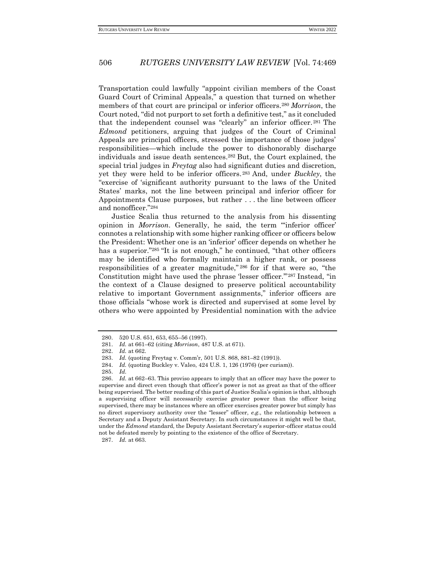Transportation could lawfully "appoint civilian members of the Coast Guard Court of Criminal Appeals," a question that turned on whether members of that court are principal or inferior officers.<sup>280</sup> *Morrison*, the Court noted, "did not purport to set forth a definitive test," as it concluded that the independent counsel was "clearly" an inferior officer. <sup>281</sup> The *Edmond* petitioners, arguing that judges of the Court of Criminal Appeals are principal officers, stressed the importance of those judges' responsibilities—which include the power to dishonorably discharge individuals and issue death sentences.<sup>282</sup> But, the Court explained, the special trial judges in *Freytag* also had significant duties and discretion, yet they were held to be inferior officers. <sup>283</sup> And, under *Buckley*, the "exercise of 'significant authority pursuant to the laws of the United States' marks, not the line between principal and inferior officer for Appointments Clause purposes, but rather . . . the line between officer and nonofficer."<sup>284</sup>

Justice Scalia thus returned to the analysis from his dissenting opinion in *Morrison*. Generally, he said, the term "'inferior officer' connotes a relationship with some higher ranking officer or officers below the President: Whether one is an 'inferior' officer depends on whether he has a superior."<sup>285</sup> "It is not enough," he continued, "that other officers may be identified who formally maintain a higher rank, or possess responsibilities of a greater magnitude," <sup>286</sup> for if that were so, "the Constitution might have used the phrase 'lesser officer.'"<sup>287</sup> Instead, "in the context of a Clause designed to preserve political accountability relative to important Government assignments," inferior officers are those officials "whose work is directed and supervised at some level by others who were appointed by Presidential nomination with the advice

<sup>280.</sup> 520 U.S. 651, 653, 655–56 (1997).

<sup>281.</sup> *Id.* at 661–62 (citing *Morrison*, 487 U.S. at 671).

<sup>282.</sup> *Id.* at 662.

<sup>283.</sup> *Id.* (quoting Freytag v. Comm'r, 501 U.S. 868, 881–82 (1991)).

<sup>284.</sup> *Id.* (quoting Buckley v. Valeo, 424 U.S. 1, 126 (1976) (per curiam)).

<sup>285.</sup> *Id.*

<sup>286.</sup> *Id.* at 662–63. This proviso appears to imply that an officer may have the power to supervise and direct even though that officer's power is not as great as that of the officer being supervised. The better reading of this part of Justice Scalia's opinion is that, although a supervising officer will necessarily exercise greater power than the officer being supervised, there may be instances where an officer exercises greater power but simply has no direct supervisory authority over the "lesser" officer, *e.g*., the relationship between a Secretary and a Deputy Assistant Secretary. In such circumstances it might well be that, under the *Edmond* standard, the Deputy Assistant Secretary's superior-officer status could not be defeated merely by pointing to the existence of the office of Secretary.

<sup>287.</sup> *Id.* at 663.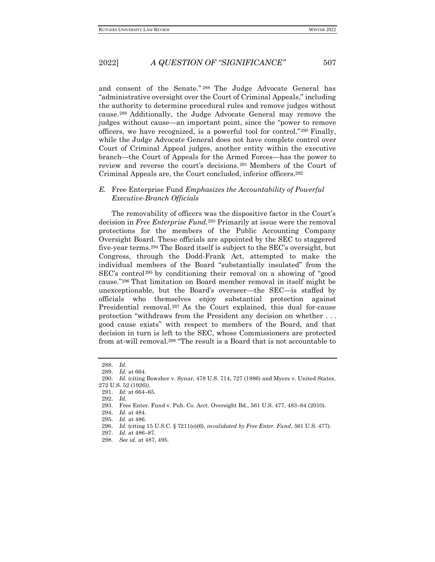and consent of the Senate." <sup>288</sup> The Judge Advocate General has "administrative oversight over the Court of Criminal Appeals," including the authority to determine procedural rules and remove judges without cause. <sup>289</sup> Additionally, the Judge Advocate General may remove the judges without cause—an important point, since the "power to remove officers, we have recognized, is a powerful tool for control."<sup>290</sup> Finally, while the Judge Advocate General does not have complete control over Court of Criminal Appeal judges, another entity within the executive branch—the Court of Appeals for the Armed Forces—has the power to review and reverse the court's decisions. <sup>291</sup> Members of the Court of Criminal Appeals are, the Court concluded, inferior officers.<sup>292</sup>

#### <span id="page-38-0"></span>*E.* Free Enterprise Fund *Emphasizes the Accountability of Powerful Executive-Branch Officials*

The removability of officers was the dispositive factor in the Court's decision in *Free Enterprise Fund.*<sup>293</sup> Primarily at issue were the removal protections for the members of the Public Accounting Company Oversight Board. These officials are appointed by the SEC to staggered five-year terms.<sup>294</sup> The Board itself is subject to the SEC's oversight, but Congress, through the Dodd-Frank Act, attempted to make the individual members of the Board "substantially insulated" from the SEC's control<sup>295</sup> by conditioning their removal on a showing of "good cause."<sup>296</sup> That limitation on Board member removal in itself might be unexceptionable, but the Board's overseer—the SEC—is staffed by officials who themselves enjoy substantial protection against Presidential removal. <sup>297</sup> As the Court explained, this dual for-cause protection "withdraws from the President any decision on whether . . . good cause exists" with respect to members of the Board, and that decision in turn is left to the SEC, whose Commissioners are protected from at-will removal.<sup>298</sup> "The result is a Board that is not accountable to

<sup>288.</sup> *Id.*

<sup>289.</sup> *Id.* at 664.

<sup>290.</sup> *Id.* (citing Bowsher v. Synar, 478 U.S. 714, 727 (1986) and Myers v. United States, 272 U.S. 52 (1926)).

<sup>291.</sup> *Id.* at 664–65.

<sup>292.</sup> *Id.*

<sup>293.</sup> Free Enter. Fund v. Pub. Co. Acct. Oversight Bd., 561 U.S. 477, 483–84 (2010).

<sup>294.</sup> *Id.* at 484.

<sup>295.</sup> *Id.* at 486.

<sup>296.</sup> *Id.* (citing 15 U.S.C. § 7211(e)(6), *invalidated by Free Enter. Fund*, 561 U.S. 477).

<sup>297.</sup> *Id.* at 486–87. 298. *See id.* at 487, 495.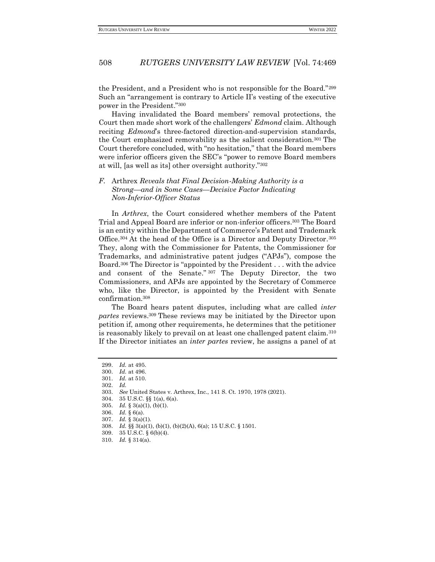the President, and a President who is not responsible for the Board."<sup>299</sup> Such an "arrangement is contrary to Article II's vesting of the executive power in the President."<sup>300</sup>

Having invalidated the Board members' removal protections, the Court then made short work of the challengers' *Edmond* claim. Although reciting *Edmond*'s three-factored direction-and-supervision standards, the Court emphasized removability as the salient consideration.<sup>301</sup> The Court therefore concluded, with "no hesitation," that the Board members were inferior officers given the SEC's "power to remove Board members at will, [as well as its] other oversight authority."<sup>302</sup>

### <span id="page-39-0"></span>*F.* Arthrex *Reveals that Final Decision-Making Authority is a Strong—and in Some Cases—Decisive Factor Indicating Non-Inferior-Officer Status*

In *Arthrex*, the Court considered whether members of the Patent Trial and Appeal Board are inferior or non-inferior officers.<sup>303</sup> The Board is an entity within the Department of Commerce's Patent and Trademark Office.<sup>304</sup> At the head of the Office is a Director and Deputy Director.<sup>305</sup> They, along with the Commissioner for Patents, the Commissioner for Trademarks, and administrative patent judges ("APJs"), compose the Board.<sup>306</sup> The Director is "appointed by the President . . . with the advice and consent of the Senate." <sup>307</sup> The Deputy Director, the two Commissioners, and APJs are appointed by the Secretary of Commerce who, like the Director, is appointed by the President with Senate confirmation.<sup>308</sup>

The Board hears patent disputes, including what are called *inter partes* reviews. <sup>309</sup> These reviews may be initiated by the Director upon petition if, among other requirements, he determines that the petitioner is reasonably likely to prevail on at least one challenged patent claim.<sup>310</sup> If the Director initiates an *inter partes* review, he assigns a panel of at

302. *Id.*

- 304. 35 U.S.C. §§ 1(a), 6(a).
- 305. *Id.* § 3(a)(1), (b)(1).
- 306. *Id.* § 6(a).
- 307. *Id.* § 3(a)(1).
- 308. *Id.* §§ 3(a)(1), (b)(1), (b)(2)(A), 6(a); 15 U.S.C. § 1501.
- 309. 35 U.S.C. § 6(b)(4).
- 310. *Id.* § 314(a).

<sup>299.</sup> *Id.* at 495.

<sup>300.</sup> *Id.* at 496.

<sup>301.</sup> *Id.* at 510.

<sup>303.</sup> *See* United States v. Arthrex, Inc., 141 S. Ct. 1970, 1978 (2021).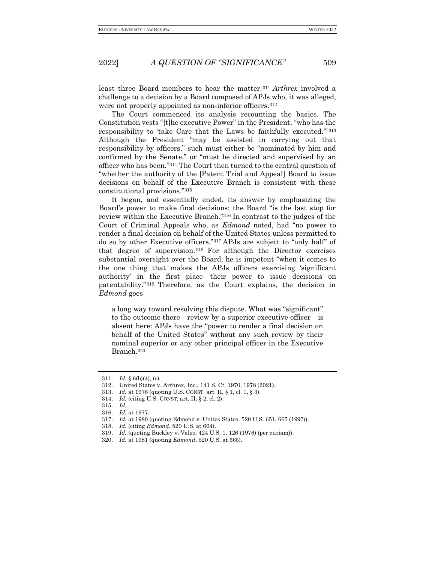least three Board members to hear the matter.<sup>311</sup> *Arthrex* involved a challenge to a decision by a Board composed of APJs who, it was alleged, were not properly appointed as non-inferior officers.<sup>312</sup>

The Court commenced its analysis recounting the basics. The Constitution vests "[t]he executive Power" in the President, "who has the responsibility to 'take Care that the Laws be faithfully executed.'" <sup>313</sup> Although the President "may be assisted in carrying out that responsibility by officers," such must either be "nominated by him and confirmed by the Senate," or "must be directed and supervised by an officer who has been."<sup>314</sup> The Court then turned to the central question of "whether the authority of the [Patent Trial and Appeal] Board to issue decisions on behalf of the Executive Branch is consistent with these constitutional provisions."<sup>315</sup>

It began, and essentially ended, its answer by emphasizing the Board's power to make final decisions: the Board "is the last stop for review within the Executive Branch."<sup>316</sup> In contrast to the judges of the Court of Criminal Appeals who, as *Edmond* noted, had "no power to render a final decision on behalf of the United States unless permitted to do so by other Executive officers,"<sup>317</sup> APJs are subject to "only half" of that degree of supervision. <sup>318</sup> For although the Director exercises substantial oversight over the Board, he is impotent "when it comes to the one thing that makes the APJs officers exercising 'significant authority' in the first place—their power to issue decisions on patentability." <sup>319</sup> Therefore, as the Court explains, the decision in *Edmond* goes

a long way toward resolving this dispute. What was "significant" to the outcome there—review by a superior executive officer—is absent here: APJs have the "power to render a final decision on behalf of the United States" without any such review by their nominal superior or any other principal officer in the Executive Branch.<sup>320</sup>

<sup>311.</sup> *Id.* § 6(b)(4), (c).

<sup>312.</sup> United States v. Arthrex, Inc., 141 S. Ct. 1970, 1978 (2021).

<sup>313.</sup> *Id.* at 1976 (quoting U.S. CONST. art. II, § 1, cl. 1, § 3).

<sup>314.</sup> *Id.* (citing U.S. CONST. art. II, § 2, cl. 2).

<sup>315.</sup> *Id.*

<sup>316.</sup> *Id.* at 1977.

<sup>317.</sup> *Id.* at 1980 (quoting Edmond v. Unites States, 520 U.S. 651, 665 (1997)).

<sup>318.</sup> *Id.* (citing *Edmond*, 520 U.S. at 664).

<sup>319.</sup> *Id.* (quoting Buckley v. Valeo, 424 U.S. 1, 126 (1976) (per curiam)).

<sup>320.</sup> *Id.* at 1981 (quoting *Edmond*, 520 U.S. at 665).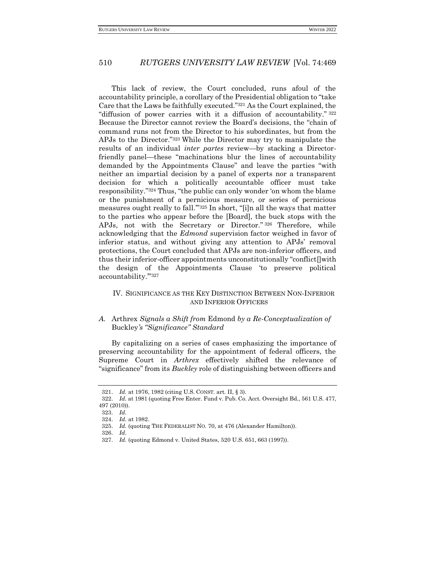This lack of review, the Court concluded, runs afoul of the accountability principle, a corollary of the Presidential obligation to "take Care that the Laws be faithfully executed."<sup>321</sup> As the Court explained, the "diffusion of power carries with it a diffusion of accountability." <sup>322</sup> Because the Director cannot review the Board's decisions, the "chain of command runs not from the Director to his subordinates, but from the APJs to the Director."<sup>323</sup> While the Director may try to manipulate the results of an individual *inter partes* review—by stacking a Directorfriendly panel—these "machinations blur the lines of accountability demanded by the Appointments Clause" and leave the parties "with neither an impartial decision by a panel of experts nor a transparent decision for which a politically accountable officer must take responsibility."<sup>324</sup> Thus, "the public can only wonder 'on whom the blame or the punishment of a pernicious measure, or series of pernicious measures ought really to fall.'"<sup>325</sup> In short, "[i]n all the ways that matter to the parties who appear before the [Board], the buck stops with the APJs, not with the Secretary or Director." <sup>326</sup> Therefore, while acknowledging that the *Edmond* supervision factor weighed in favor of inferior status, and without giving any attention to APJs' removal protections, the Court concluded that APJs are non-inferior officers, and thus their inferior-officer appointments unconstitutionally "conflict[]with the design of the Appointments Clause 'to preserve political accountability."327

#### <span id="page-41-0"></span>IV. SIGNIFICANCE AS THE KEY DISTINCTION BETWEEN NON-INFERIOR AND INFERIOR OFFICERS

#### <span id="page-41-1"></span>*A.* Arthrex *Signals a Shift from* Edmond *by a Re-Conceptualization of*  Buckley*'s "Significance" Standard*

By capitalizing on a series of cases emphasizing the importance of preserving accountability for the appointment of federal officers, the Supreme Court in *Arthrex* effectively shifted the relevance of "significance" from its *Buckley* role of distinguishing between officers and

<sup>321.</sup> *Id.* at 1976, 1982 (citing U.S. CONST. art. II, § 3).

<sup>322.</sup> *Id.* at 1981 (quoting Free Enter. Fund v. Pub. Co. Acct. Oversight Bd., 561 U.S. 477, 497 (2010)).

<sup>323.</sup> *Id.*

<sup>324.</sup> *Id.* at 1982.

<sup>325.</sup> *Id.* (quoting THE FEDERALIST NO. 70, at 476 (Alexander Hamilton)).

<sup>326.</sup> *Id.*

<sup>327.</sup> *Id.* (quoting Edmond v. United States, 520 U.S. 651, 663 (1997)).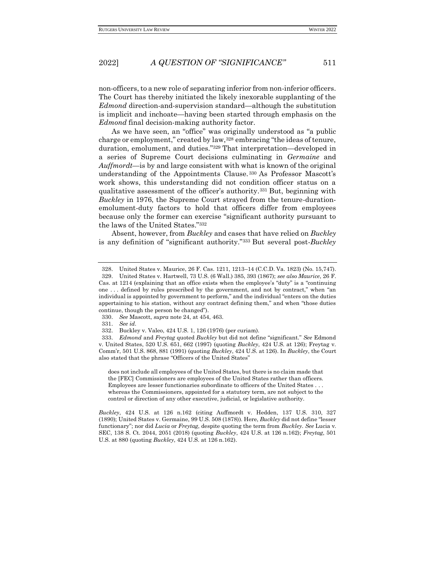non-officers, to a new role of separating inferior from non-inferior officers. The Court has thereby initiated the likely inexorable supplanting of the *Edmond* direction-and-supervision standard—although the substitution is implicit and inchoate—having been started through emphasis on the *Edmond* final decision-making authority factor.

As we have seen, an "office" was originally understood as "a public charge or employment," created by law,<sup>328</sup> embracing "the ideas of tenure, duration, emolument, and duties."<sup>329</sup> That interpretation—developed in a series of Supreme Court decisions culminating in *Germaine* and *Auffmordt*—is by and large consistent with what is known of the original understanding of the Appointments Clause. <sup>330</sup> As Professor Mascott's work shows, this understanding did not condition officer status on a qualitative assessment of the officer's authority.<sup>331</sup> But, beginning with *Buckley* in 1976, the Supreme Court strayed from the tenure-durationemolument-duty factors to hold that officers differ from employees because only the former can exercise "significant authority pursuant to the laws of the United States."<sup>332</sup>

Absent, however, from *Buckley* and cases that have relied on *Buckley* is any definition of "significant authority."<sup>333</sup> But several post-*Buckley*

330. *See* Mascott, *supra* note 24, at 454, 463.

331. *See id.*

does not include all employees of the United States, but there is no claim made that the [FEC] Commissioners are employees of the United States rather than officers. Employees are lesser functionaries subordinate to officers of the United States . . . whereas the Commissioners, appointed for a statutory term, are not subject to the control or direction of any other executive, judicial, or legislative authority.

*Buckley*, 424 U.S. at 126 n.162 (citing Auffmordt v. Hedden, 137 U.S. 310, 327 (1890); United States v. Germaine, 99 U.S. 508 (1878)). Here, *Buckley* did not define "lesser functionary"; nor did *Lucia* or *Freytag*, despite quoting the term from *Buckley*. *See* Lucia v. SEC, 138 S. Ct. 2044, 2051 (2018) (quoting *Buckley*, 424 U.S. at 126 n.162); *Freytag*, 501 U.S. at 880 (quoting *Buckley*, 424 U.S. at 126 n.162).

<sup>328.</sup> United States v. Maurice, 26 F. Cas. 1211, 1213–14 (C.C.D. Va. 1823) (No. 15,747).

<sup>329.</sup> United States v. Hartwell, 73 U.S. (6 Wall.) 385, 393 (1867); *see also Maurice*, 26 F. Cas. at 1214 (explaining that an office exists when the employee's "duty" is a "continuing one . . . defined by rules prescribed by the government, and not by contract," when "an individual is appointed by government to perform," and the individual "enters on the duties appertaining to his station, without any contract defining them," and when "those duties continue, though the person be changed").

<sup>332.</sup> Buckley v. Valeo, 424 U.S. 1, 126 (1976) (per curiam).

<sup>333.</sup> *Edmond* and *Freytag* quoted *Buckley* but did not define "significant." *See* Edmond v. United States, 520 U.S. 651, 662 (1997) (quoting *Buckley*, 424 U.S. at 126); Freytag v. Comm'r, 501 U.S. 868, 881 (1991) (quoting *Buckley*, 424 U.S. at 126). In *Buckley*, the Court also stated that the phrase "Officers of the United States"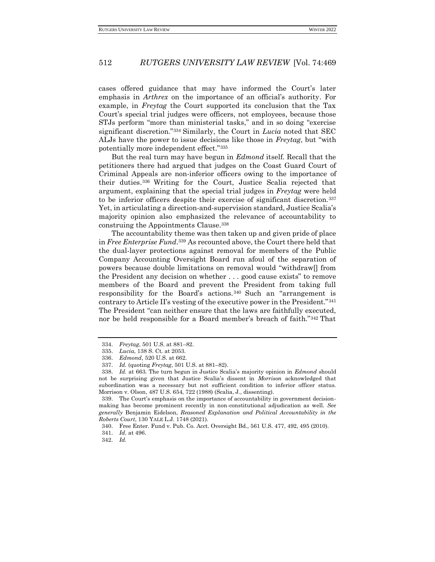cases offered guidance that may have informed the Court's later emphasis in *Arthrex* on the importance of an official's authority. For example, in *Freytag* the Court supported its conclusion that the Tax Court's special trial judges were officers, not employees, because those STJs perform "more than ministerial tasks," and in so doing "exercise significant discretion."<sup>334</sup> Similarly, the Court in *Lucia* noted that SEC ALJs have the power to issue decisions like those in *Freytag*, but "with potentially more independent effect."<sup>335</sup>

But the real turn may have begun in *Edmond* itself. Recall that the petitioners there had argued that judges on the Coast Guard Court of Criminal Appeals are non-inferior officers owing to the importance of their duties. <sup>336</sup> Writing for the Court, Justice Scalia rejected that argument, explaining that the special trial judges in *Freytag* were held to be inferior officers despite their exercise of significant discretion.<sup>337</sup> Yet, in articulating a direction-and-supervision standard, Justice Scalia's majority opinion also emphasized the relevance of accountability to construing the Appointments Clause.<sup>338</sup>

The accountability theme was then taken up and given pride of place in *Free Enterprise Fund*. <sup>339</sup> As recounted above, the Court there held that the dual-layer protections against removal for members of the Public Company Accounting Oversight Board run afoul of the separation of powers because double limitations on removal would "withdraw[] from the President any decision on whether . . . good cause exists" to remove members of the Board and prevent the President from taking full responsibility for the Board's actions. <sup>340</sup> Such an "arrangement is contrary to Article II's vesting of the executive power in the President."<sup>341</sup> The President "can neither ensure that the laws are faithfully executed, nor be held responsible for a Board member's breach of faith."<sup>342</sup> That

<sup>334.</sup> *Freytag*, 501 U.S. at 881–82.

<sup>335.</sup> *Lucia*, 138 S. Ct. at 2053.

<sup>336.</sup> *Edmond*, 520 U.S. at 662.

<sup>337.</sup> *Id.* (quoting *Freytag*, 501 U.S. at 881–82).

<sup>338.</sup> *Id.* at 663. The turn begun in Justice Scalia's majority opinion in *Edmond* should not be surprising given that Justice Scalia's dissent in *Morrison* acknowledged that subordination was a necessary but not sufficient condition to inferior officer status. Morrison v. Olson, 487 U.S. 654, 722 (1988) (Scalia, J., dissenting).

<sup>339.</sup> The Court's emphasis on the importance of accountability in government decisionmaking has become prominent recently in non-constitutional adjudication as well. *See generally* Benjamin Eidelson, *Reasoned Explanation and Political Accountability in the Roberts Court*, 130 YALE L.J. 1748 (2021).

<sup>340.</sup> Free Enter. Fund v. Pub. Co. Acct. Oversight Bd., 561 U.S. 477, 492, 495 (2010).

<sup>341.</sup> *Id.* at 496.

<sup>342.</sup> *Id.*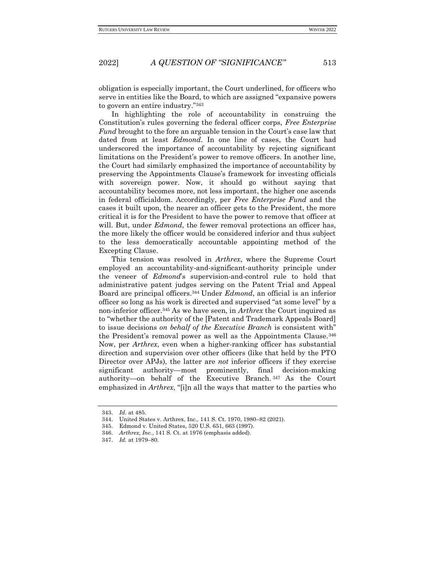obligation is especially important, the Court underlined, for officers who serve in entities like the Board, to which are assigned "expansive powers to govern an entire industry."<sup>343</sup>

In highlighting the role of accountability in construing the Constitution's rules governing the federal officer corps, *Free Enterprise Fund* brought to the fore an arguable tension in the Court's case law that dated from at least *Edmond*. In one line of cases, the Court had underscored the importance of accountability by rejecting significant limitations on the President's power to remove officers. In another line, the Court had similarly emphasized the importance of accountability by preserving the Appointments Clause's framework for investing officials with sovereign power. Now, it should go without saying that accountability becomes more, not less important, the higher one ascends in federal officialdom. Accordingly, per *Free Enterprise Fund* and the cases it built upon, the nearer an officer gets to the President, the more critical it is for the President to have the power to remove that officer at will. But, under *Edmond*, the fewer removal protections an officer has, the more likely the officer would be considered inferior and thus subject to the less democratically accountable appointing method of the Excepting Clause.

This tension was resolved in *Arthrex*, where the Supreme Court employed an accountability-and-significant-authority principle under the veneer of *Edmond*'s supervision-and-control rule to hold that administrative patent judges serving on the Patent Trial and Appeal Board are principal officers.<sup>344</sup> Under *Edmond*, an official is an inferior officer so long as his work is directed and supervised "at some level" by a non-inferior officer.<sup>345</sup> As we have seen, in *Arthrex* the Court inquired as to "whether the authority of the [Patent and Trademark Appeals Board] to issue decisions *on behalf of the Executive Branch* is consistent with" the President's removal power as well as the Appointments Clause.<sup>346</sup> Now, per *Arthrex*, even when a higher-ranking officer has substantial direction and supervision over other officers (like that held by the PTO Director over APJs), the latter are *not* inferior officers if they exercise significant authority—most prominently, final decision-making authority—on behalf of the Executive Branch. <sup>347</sup> As the Court emphasized in *Arthrex*, "[i]n all the ways that matter to the parties who

<sup>343.</sup> *Id.* at 485.

<sup>344.</sup> United States v. Arthrex, Inc., 141 S. Ct. 1970, 1980–82 (2021).

<sup>345.</sup> Edmond v. United States, 520 U.S. 651, 663 (1997).

<sup>346.</sup> *Arthrex, Inc.*, 141 S. Ct. at 1976 (emphasis added).

<sup>347.</sup> *Id.* at 1979–80.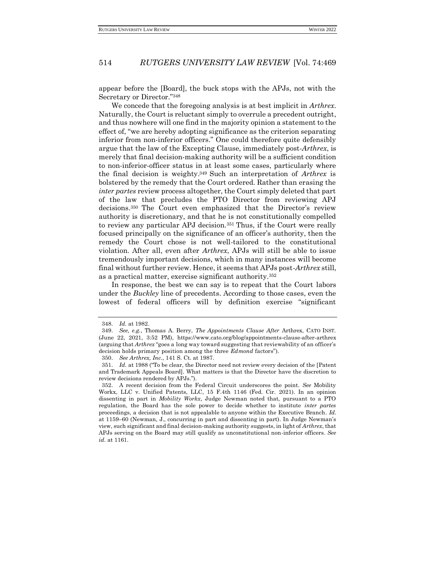appear before the [Board], the buck stops with the APJs, not with the Secretary or Director."<sup>348</sup>

We concede that the foregoing analysis is at best implicit in *Arthrex*. Naturally, the Court is reluctant simply to overrule a precedent outright, and thus nowhere will one find in the majority opinion a statement to the effect of, "we are hereby adopting significance as the criterion separating inferior from non-inferior officers." One could therefore quite defensibly argue that the law of the Excepting Clause, immediately post-*Arthrex*, is merely that final decision-making authority will be a sufficient condition to non-inferior-officer status in at least some cases, particularly where the final decision is weighty. <sup>349</sup> Such an interpretation of *Arthrex* is bolstered by the remedy that the Court ordered. Rather than erasing the *inter partes* review process altogether, the Court simply deleted that part of the law that precludes the PTO Director from reviewing APJ decisions. <sup>350</sup> The Court even emphasized that the Director's review authority is discretionary, and that he is not constitutionally compelled to review any particular APJ decision.<sup>351</sup> Thus, if the Court were really focused principally on the significance of an officer's authority, then the remedy the Court chose is not well-tailored to the constitutional violation. After all, even after *Arthrex*, APJs will still be able to issue tremendously important decisions, which in many instances will become final without further review. Hence, it seems that APJs post-*Arthrex* still, as a practical matter, exercise significant authority.<sup>352</sup>

In response, the best we can say is to repeat that the Court labors under the *Buckley* line of precedents. According to those cases, even the lowest of federal officers will by definition exercise "significant

<sup>348.</sup> *Id.* at 1982.

<sup>349.</sup> *See, e.g.*, Thomas A. Berry, *The Appointments Clause After* Arthrex, CATO INST. (June 22, 2021, 3:52 PM), https://www.cato.org/blog/appointments-clause-after-arthrex (arguing that *Arthrex* "goes a long way toward suggesting that reviewability of an officer's decision holds primary position among the three *Edmond* factors").

<sup>350.</sup> *See Arthrex, Inc.*, 141 S. Ct. at 1987.

<sup>351.</sup> *Id.* at 1988 ("To be clear, the Director need not review every decision of the [Patent and Trademark Appeals Board]. What matters is that the Director have the discretion to review decisions rendered by APJs.").

<sup>352.</sup> A recent decision from the Federal Circuit underscores the point. *See* Mobility Workx, LLC v. Unified Patents, LLC, 15 F.4th 1146 (Fed. Cir. 2021). In an opinion dissenting in part in *Mobility Workx*, Judge Newman noted that, pursuant to a PTO regulation, the Board has the sole power to decide whether to institute *inter partes* proceedings, a decision that is not appealable to anyone within the Executive Branch. *Id.*  at 1159–60 (Newman, J., concurring in part and dissenting in part). In Judge Newman's view, such significant and final decision-making authority suggests, in light of *Arthrex*, that APJs serving on the Board may still qualify as unconstitutional non-inferior officers. *See id.* at 1161.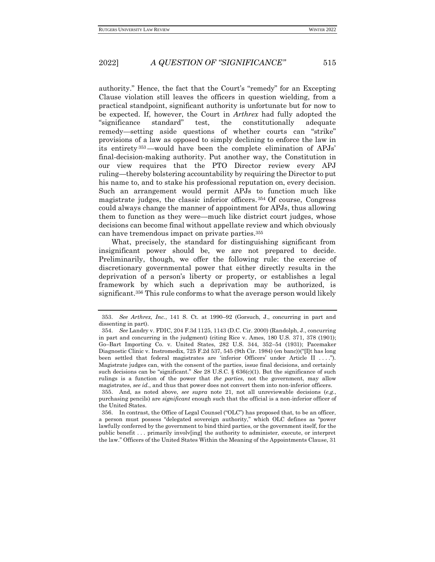authority." Hence, the fact that the Court's "remedy" for an Excepting Clause violation still leaves the officers in question wielding, from a practical standpoint, significant authority is unfortunate but for now to be expected. If, however, the Court in *Arthrex* had fully adopted the "significance standard" test, the constitutionally adequate remedy—setting aside questions of whether courts can "strike" provisions of a law as opposed to simply declining to enforce the law in its entirety <sup>353</sup>—would have been the complete elimination of APJs' final-decision-making authority. Put another way, the Constitution in our view requires that the PTO Director review every APJ ruling—thereby bolstering accountability by requiring the Director to put his name to, and to stake his professional reputation on, every decision. Such an arrangement would permit APJs to function much like magistrate judges, the classic inferior officers. <sup>354</sup> Of course, Congress could always change the manner of appointment for APJs, thus allowing them to function as they were—much like district court judges, whose decisions can become final without appellate review and which obviously can have tremendous impact on private parties.<sup>355</sup>

What, precisely, the standard for distinguishing significant from insignificant power should be, we are not prepared to decide. Preliminarily, though, we offer the following rule: the exercise of discretionary governmental power that either directly results in the deprivation of a person's liberty or property, or establishes a legal framework by which such a deprivation may be authorized, is significant.<sup>356</sup> This rule conforms to what the average person would likely

<sup>353.</sup> *See Arthrex, Inc.*, 141 S. Ct. at 1990–92 (Gorsuch, J., concurring in part and dissenting in part).

<sup>354.</sup> *See* Landry v. FDIC, 204 F.3d 1125, 1143 (D.C. Cir. 2000) (Randolph, J., concurring in part and concurring in the judgment) (citing Rice v. Ames, 180 U.S. 371, 378 (1901); Go–Bart Importing Co. v. United States, 282 U.S. 344, 352–54 (1931); Pacemaker Diagnostic Clinic v. Instromedix, 725 F.2d 537, 545 (9th Cir. 1984) (en banc))("[I]t has long been settled that federal magistrates are 'inferior Officers' under Article II . . . ."). Magistrate judges can, with the consent of the parties, issue final decisions, and certainly such decisions can be "significant." *See* 28 U.S.C. § 636(c)(1). But the significance of such rulings is a function of the power that *the parties*, not the government, may allow magistrates, *see id.*, and thus that power does not convert them into non-inferior officers.

<sup>355.</sup> And, as noted above, *see supra* note 21, not all unreviewable decisions (*e.g.*, purchasing pencils) are *significant* enough such that the official is a non-inferior officer of the United States.

<sup>356.</sup> In contrast, the Office of Legal Counsel ("OLC") has proposed that, to be an officer, a person must possess "delegated sovereign authority," which OLC defines as "power lawfully conferred by the government to bind third parties, or the government itself, for the public benefit . . . primarily involv[ing] the authority to administer, execute, or interpret the law." Officers of the United States Within the Meaning of the Appointments Clause, 31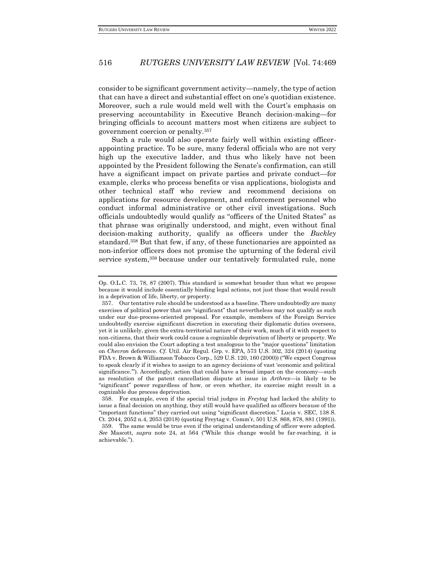consider to be significant government activity—namely, the type of action that can have a direct and substantial effect on one's quotidian existence. Moreover, such a rule would meld well with the Court's emphasis on preserving accountability in Executive Branch decision-making—for bringing officials to account matters most when citizens are subject to government coercion or penalty.<sup>357</sup>

Such a rule would also operate fairly well within existing officerappointing practice. To be sure, many federal officials who are not very high up the executive ladder, and thus who likely have not been appointed by the President following the Senate's confirmation, can still have a significant impact on private parties and private conduct—for example, clerks who process benefits or visa applications, biologists and other technical staff who review and recommend decisions on applications for resource development, and enforcement personnel who conduct informal administrative or other civil investigations. Such officials undoubtedly would qualify as "officers of the United States" as that phrase was originally understood, and might, even without final decision-making authority, qualify as officers under the *Buckley* standard.<sup>358</sup> But that few, if any, of these functionaries are appointed as non-inferior officers does not promise the upturning of the federal civil service system,<sup>359</sup> because under our tentatively formulated rule, none

Op. O.L.C. 73, 78, 87 (2007). This standard is somewhat broader than what we propose because it would include essentially binding legal actions, not just those that would result in a deprivation of life, liberty, or property.

<sup>357.</sup> Our tentative rule should be understood as a baseline. There undoubtedly are many exercises of political power that are "significant" that nevertheless may not qualify as such under our due-process-oriented proposal. For example, members of the Foreign Service undoubtedly exercise significant discretion in executing their diplomatic duties oversees, yet it is unlikely, given the extra-territorial nature of their work, much of it with respect to non-citizens, that their work could cause a cognizable deprivation of liberty or property. We could also envision the Court adopting a test analogous to the "major questions" limitation on *Chevron* deference. *Cf.* Util. Air Regul. Grp. v. EPA, 573 U.S. 302, 324 (2014) (quoting FDA v. Brown & Williamson Tobacco Corp., 529 U.S. 120, 160 (2000)) ("We expect Congress to speak clearly if it wishes to assign to an agency decisions of vast 'economic and political significance.'"). Accordingly, action that could have a broad impact on the economy—such as resolution of the patent cancellation dispute at issue in *Arthrex*—is likely to be "significant" power regardless of how, or even whether, its exercise might result in a cognizable due process deprivation.

<sup>358.</sup> For example, even if the special trial judges in *Freytag* had lacked the ability to issue a final decision on anything, they still would have qualified as officers because of the "important functions" they carried out using "significant discretion." Lucia v. SEC, 138 S. Ct. 2044, 2052 n.4, 2053 (2018) (quoting Freytag v. Comm'r, 501 U.S. 868, 878, 881 (1991)). 359. The same would be true even if the original understanding of officer were adopted. *See* Mascott, *supra* note 24, at 564 ("While this change would be far-reaching, it is achievable.").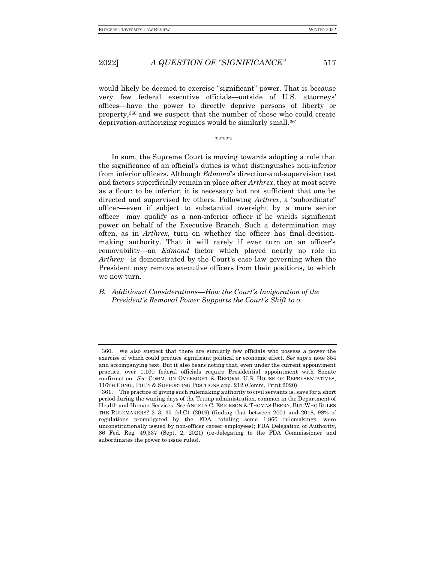would likely be deemed to exercise "significant" power. That is because very few federal executive officials—outside of U.S. attorneys' offices—have the power to directly deprive persons of liberty or property,<sup>360</sup> and we suspect that the number of those who could create deprivation-authorizing regimes would be similarly small.<sup>361</sup>

\*\*\*\*\*

In sum, the Supreme Court is moving towards adopting a rule that the significance of an official's duties is what distinguishes non-inferior from inferior officers. Although *Edmond*'s direction-and-supervision test and factors superficially remain in place after *Arthrex*, they at most serve as a floor: to be inferior, it is necessary but not sufficient that one be directed and supervised by others. Following *Arthrex*, a "subordinate" officer—even if subject to substantial oversight by a more senior officer—may qualify as a non-inferior officer if he wields significant power on behalf of the Executive Branch. Such a determination may often, as in *Arthrex*, turn on whether the officer has final-decisionmaking authority. That it will rarely if ever turn on an officer's removability—an *Edmond* factor which played nearly no role in *Arthrex*—is demonstrated by the Court's case law governing when the President may remove executive officers from their positions, to which we now turn.

## <span id="page-48-0"></span>*B. Additional Considerations—How the Court's Invigoration of the President's Removal Power Supports the Court's Shift to a*

<sup>360.</sup> We also suspect that there are similarly few officials who possess a power the exercise of which could produce significant political or economic effect. *See supra* note 354 and accompanying text. But it also bears noting that, even under the current appointment practice, over 1,100 federal officials require Presidential appointment with Senate confirmation. *See* COMM. ON OVERSIGHT & REFORM, U.S. HOUSE OF REPRESENTATIVES, 116TH CONG., POL'Y & SUPPORTING POSITIONS app. 212 (Comm. Print 2020).

<sup>361.</sup> The practice of giving such rulemaking authority to civil servants is, save for a short period during the waning days of the Trump administration, common in the Department of Health and Human Services. *See* ANGELA C. ERICKSON & THOMAS BERRY, BUT WHO RULES THE RULEMAKERS? 2–3, 35 tbl.C1 (2019) (finding that between 2001 and 2018, 98% of regulations promulgated by the FDA, totaling some 1,860 rulemakings, were unconstitutionally issued by non-officer career employees); FDA Delegation of Authority, 86 Fed. Reg. 49,337 (Sept. 2, 2021) (re-delegating to the FDA Commissioner and subordinates the power to issue rules).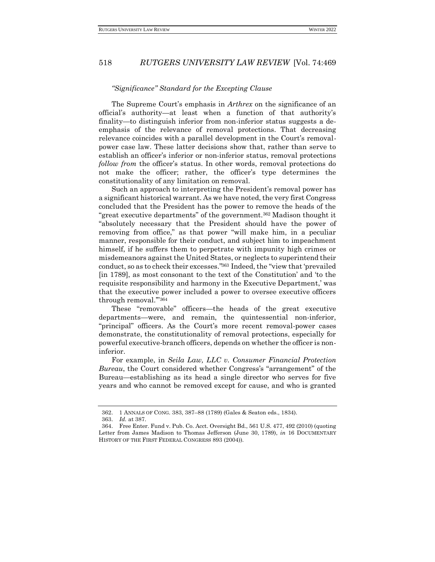#### *"Significance" Standard for the Excepting Clause*

The Supreme Court's emphasis in *Arthrex* on the significance of an official's authority—at least when a function of that authority's finality—to distinguish inferior from non-inferior status suggests a deemphasis of the relevance of removal protections. That decreasing relevance coincides with a parallel development in the Court's removalpower case law. These latter decisions show that, rather than serve to establish an officer's inferior or non-inferior status, removal protections *follow from* the officer's status. In other words, removal protections do not make the officer; rather, the officer's type determines the constitutionality of any limitation on removal.

Such an approach to interpreting the President's removal power has a significant historical warrant. As we have noted, the very first Congress concluded that the President has the power to remove the heads of the "great executive departments" of the government.<sup>362</sup> Madison thought it "absolutely necessary that the President should have the power of removing from office," as that power "will make him, in a peculiar manner, responsible for their conduct, and subject him to impeachment himself, if he suffers them to perpetrate with impunity high crimes or misdemeanors against the United States, or neglects to superintend their conduct, so as to check their excesses." <sup>363</sup> Indeed, the "view that 'prevailed [in 1789], as most consonant to the text of the Constitution' and 'to the requisite responsibility and harmony in the Executive Department,' was that the executive power included a power to oversee executive officers through removal.'"<sup>364</sup>

These "removable" officers—the heads of the great executive departments—were, and remain, the quintessential non-inferior, "principal" officers. As the Court's more recent removal-power cases demonstrate, the constitutionality of removal protections, especially for powerful executive-branch officers, depends on whether the officer is noninferior.

For example, in *Seila Law, LLC v. Consumer Financial Protection Bureau*, the Court considered whether Congress's "arrangement" of the Bureau—establishing as its head a single director who serves for five years and who cannot be removed except for cause, and who is granted

<sup>362.</sup> 1 ANNALS OF CONG. 383, 387–88 (1789) (Gales & Seaton eds., 1834).

<sup>363.</sup> *Id.* at 387.

<sup>364.</sup> Free Enter. Fund v. Pub. Co. Acct. Oversight Bd., 561 U.S. 477, 492 (2010) (quoting Letter from James Madison to Thomas Jefferson (June 30, 1789), *in* 16 DOCUMENTARY HISTORY OF THE FIRST FEDERAL CONGRESS 893 (2004)).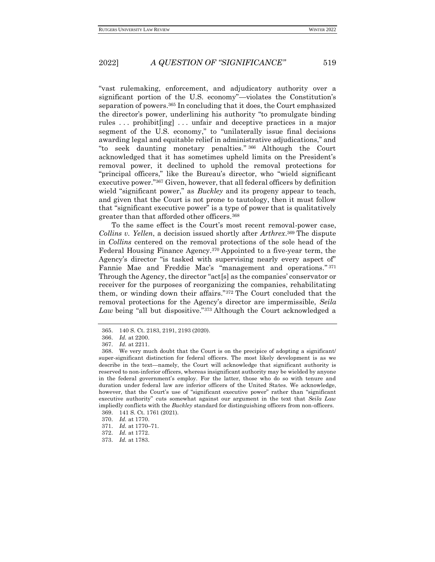"vast rulemaking, enforcement, and adjudicatory authority over a significant portion of the U.S. economy"—violates the Constitution's separation of powers.<sup>365</sup> In concluding that it does, the Court emphasized the director's power, underlining his authority "to promulgate binding rules . . . prohibit[ing] . . . unfair and deceptive practices in a major segment of the U.S. economy," to "unilaterally issue final decisions awarding legal and equitable relief in administrative adjudications," and "to seek daunting monetary penalties." <sup>366</sup> Although the Court acknowledged that it has sometimes upheld limits on the President's removal power, it declined to uphold the removal protections for "principal officers," like the Bureau's director, who "wield significant executive power."<sup>367</sup> Given, however, that all federal officers by definition wield "significant power," as *Buckley* and its progeny appear to teach, and given that the Court is not prone to tautology, then it must follow that "significant executive power" is a type of power that is qualitatively greater than that afforded other officers.<sup>368</sup>

To the same effect is the Court's most recent removal-power case, *Collins v. Yellen*, a decision issued shortly after *Arthrex*. <sup>369</sup> The dispute in *Collins* centered on the removal protections of the sole head of the Federal Housing Finance Agency.<sup>370</sup> Appointed to a five-year term, the Agency's director "is tasked with supervising nearly every aspect of" Fannie Mae and Freddie Mac's "management and operations." 371 Through the Agency, the director "act[s] as the companies' conservator or receiver for the purposes of reorganizing the companies, rehabilitating them, or winding down their affairs."<sup>372</sup> The Court concluded that the removal protections for the Agency's director are impermissible, *Seila Law* being "all but dispositive."<sup>373</sup> Although the Court acknowledged a

<sup>365.</sup> 140 S. Ct. 2183, 2191, 2193 (2020).

<sup>366.</sup> *Id.* at 2200.

<sup>367.</sup> *Id.* at 2211.

<sup>368.</sup> We very much doubt that the Court is on the precipice of adopting a significant/ super-significant distinction for federal officers. The most likely development is as we describe in the text—namely, the Court will acknowledge that significant authority is reserved to non-inferior officers, whereas insignificant authority may be wielded by anyone in the federal government's employ. For the latter, those who do so with tenure and duration under federal law are inferior officers of the United States. We acknowledge, however, that the Court's use of "significant executive power" rather than "significant executive authority" cuts somewhat against our argument in the text that *Seila Law* impliedly conflicts with the *Buckley* standard for distinguishing officers from non-officers.

<sup>369.</sup> 141 S. Ct. 1761 (2021). 370. *Id.* at 1770.

<sup>371.</sup> *Id.* at 1770–71.

<sup>372.</sup> *Id.* at 1772.

<sup>373.</sup> *Id.* at 1783.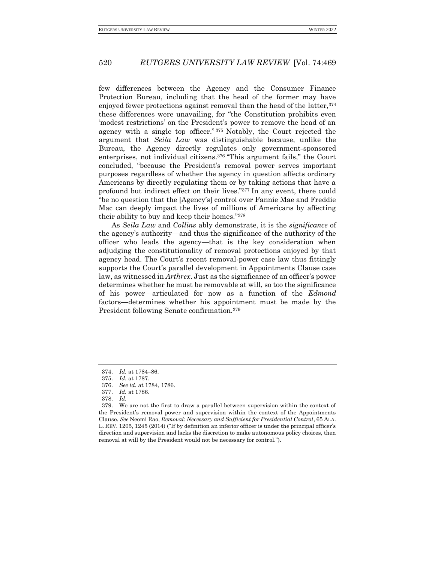few differences between the Agency and the Consumer Finance Protection Bureau, including that the head of the former may have enjoyed fewer protections against removal than the head of the latter, 374 these differences were unavailing, for "the Constitution prohibits even 'modest restrictions' on the President's power to remove the head of an agency with a single top officer." <sup>375</sup> Notably, the Court rejected the argument that *Seila Law* was distinguishable because, unlike the Bureau, the Agency directly regulates only government-sponsored enterprises, not individual citizens.<sup>376</sup> "This argument fails," the Court concluded, "because the President's removal power serves important purposes regardless of whether the agency in question affects ordinary Americans by directly regulating them or by taking actions that have a profound but indirect effect on their lives."<sup>377</sup> In any event, there could "be no question that the [Agency's] control over Fannie Mae and Freddie Mac can deeply impact the lives of millions of Americans by affecting their ability to buy and keep their homes."<sup>378</sup>

As *Seila Law* and *Collins* ably demonstrate, it is the *significance* of the agency's authority—and thus the significance of the authority of the officer who leads the agency—that is the key consideration when adjudging the constitutionality of removal protections enjoyed by that agency head. The Court's recent removal-power case law thus fittingly supports the Court's parallel development in Appointments Clause case law, as witnessed in *Arthrex*. Just as the significance of an officer's power determines whether he must be removable at will, so too the significance of his power—articulated for now as a function of the *Edmond*  factors—determines whether his appointment must be made by the President following Senate confirmation.<sup>379</sup>

<sup>374.</sup> *Id.* at 1784–86.

<sup>375.</sup> *Id.* at 1787.

<sup>376.</sup> *See id.* at 1784, 1786.

<sup>377.</sup> *Id.* at 1786.

<sup>378.</sup> *Id.*

<sup>379.</sup> We are not the first to draw a parallel between supervision within the context of the President's removal power and supervision within the context of the Appointments Clause. *See* Neomi Rao, *Removal: Necessary and Sufficient for Presidential Control*, 65 ALA. L. REV. 1205, 1245 (2014) ("If by definition an inferior officer is under the principal officer's direction and supervision and lacks the discretion to make autonomous policy choices, then removal at will by the President would not be necessary for control.").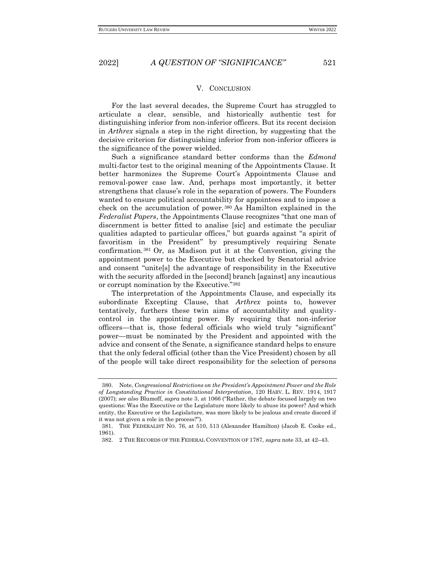V. CONCLUSION

<span id="page-52-0"></span>For the last several decades, the Supreme Court has struggled to articulate a clear, sensible, and historically authentic test for distinguishing inferior from non-inferior officers. But its recent decision in *Arthrex* signals a step in the right direction, by suggesting that the decisive criterion for distinguishing inferior from non-inferior officers is the significance of the power wielded.

Such a significance standard better conforms than the *Edmond*  multi-factor test to the original meaning of the Appointments Clause. It better harmonizes the Supreme Court's Appointments Clause and removal-power case law. And, perhaps most importantly, it better strengthens that clause's role in the separation of powers. The Founders wanted to ensure political accountability for appointees and to impose a check on the accumulation of power. <sup>380</sup> As Hamilton explained in the *Federalist Papers*, the Appointments Clause recognizes "that one man of discernment is better fitted to analise [sic] and estimate the peculiar qualities adapted to particular offices," but guards against "a spirit of favoritism in the President" by presumptively requiring Senate confirmation.<sup>381</sup> Or, as Madison put it at the Convention, giving the appointment power to the Executive but checked by Senatorial advice and consent "unite[s] the advantage of responsibility in the Executive with the security afforded in the [second] branch [against] any incautious or corrupt nomination by the Executive."<sup>382</sup>

The interpretation of the Appointments Clause, and especially its subordinate Excepting Clause, that *Arthrex* points to, however tentatively, furthers these twin aims of accountability and qualitycontrol in the appointing power. By requiring that non-inferior officers—that is, those federal officials who wield truly "significant" power—must be nominated by the President and appointed with the advice and consent of the Senate, a significance standard helps to ensure that the only federal official (other than the Vice President) chosen by all of the people will take direct responsibility for the selection of persons

<sup>380.</sup> Note, *Congressional Restrictions on the President's Appointment Power and the Role of Longstanding Practice in Constitutional Interpretation*, 120 HARV. L. REV. 1914, 1917 (2007); *see also* Blumoff, *supra* not[e 3](#page-3-1), at 1066 ("Rather, the debate focused largely on two questions: Was the Executive or the Legislature more likely to abuse its power? And which entity, the Executive or the Legislature, was more likely to be jealous and create discord if it was not given a role in the process?").

<sup>381.</sup> THE FEDERALIST NO. 76, at 510, 513 (Alexander Hamilton) (Jacob E. Cooke ed., 1961).

<sup>382.</sup> 2 THE RECORDS OF THE FEDERAL CONVENTION OF 1787, *supra* note 33, at 42–43.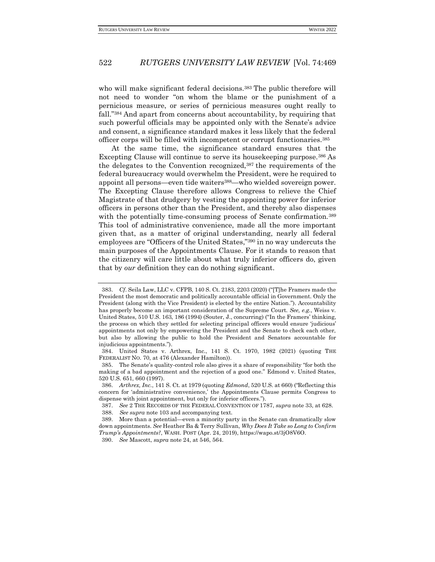who will make significant federal decisions.<sup>383</sup> The public therefore will not need to wonder "on whom the blame or the punishment of a pernicious measure, or series of pernicious measures ought really to fall."<sup>384</sup> And apart from concerns about accountability, by requiring that such powerful officials may be appointed only with the Senate's advice and consent, a significance standard makes it less likely that the federal officer corps will be filled with incompetent or corrupt functionaries.<sup>385</sup>

At the same time, the significance standard ensures that the Excepting Clause will continue to serve its housekeeping purpose.<sup>386</sup> As the delegates to the Convention recognized,<sup>387</sup> the requirements of the federal bureaucracy would overwhelm the President, were he required to appoint all persons—even tide waiters388—who wielded sovereign power. The Excepting Clause therefore allows Congress to relieve the Chief Magistrate of that drudgery by vesting the appointing power for inferior officers in persons other than the President, and thereby also dispenses with the potentially time-consuming process of Senate confirmation.<sup>389</sup> This tool of administrative convenience, made all the more important given that, as a matter of original understanding, nearly all federal employees are "Officers of the United States,"<sup>390</sup> in no way undercuts the main purposes of the Appointments Clause. For it stands to reason that the citizenry will care little about what truly inferior officers do, given that by *our* definition they can do nothing significant.

<sup>383.</sup> *Cf*. Seila Law, LLC v. CFPB, 140 S. Ct. 2183, 2203 (2020) ("[T]he Framers made the President the most democratic and politically accountable official in Government. Only the President (along with the Vice President) is elected by the entire Nation."). Accountability has properly become an important consideration of the Supreme Court. *See, e.g.*, Weiss v. United States, 510 U.S. 163, 186 (1994) (Souter, J., concurring) ("In the Framers' thinking, the process on which they settled for selecting principal officers would ensure 'judicious' appointments not only by empowering the President and the Senate to check each other, but also by allowing the public to hold the President and Senators accountable for injudicious appointments.").

<sup>384.</sup> United States v. Arthrex, Inc., 141 S. Ct. 1970, 1982 (2021) (quoting THE FEDERALIST NO. 70, at 476 (Alexander Hamilton)).

<sup>385.</sup> The Senate's quality-control role also gives it a share of responsibility "for both the making of a bad appointment and the rejection of a good one." Edmond v. United States, 520 U.S. 651, 660 (1997).

<sup>386.</sup> *Arthrex, Inc.*, 141 S. Ct. at 1979 (quoting *Edmond*, 520 U.S. at 660) ("Reflecting this concern for 'administrative convenience,' the Appointments Clause permits Congress to dispense with joint appointment, but only for inferior officers.").

<sup>387.</sup> *See* 2 THE RECORDS OF THE FEDERAL CONVENTION OF 1787, *supra* note 33, at 628.

<sup>388.</sup> *See supra* note 103 and accompanying text.

<sup>389.</sup> More than a potential—even a minority party in the Senate can dramatically slow down appointments. *See* Heather Ba & Terry Sullivan, *Why Does It Take so Long to Confirm Trump's Appointments?*, WASH. POST (Apr. 24, 2019), https://wapo.st/3jO8V6O.

<sup>390.</sup> *See* Mascott, *supra* note 24, at 546, 564.